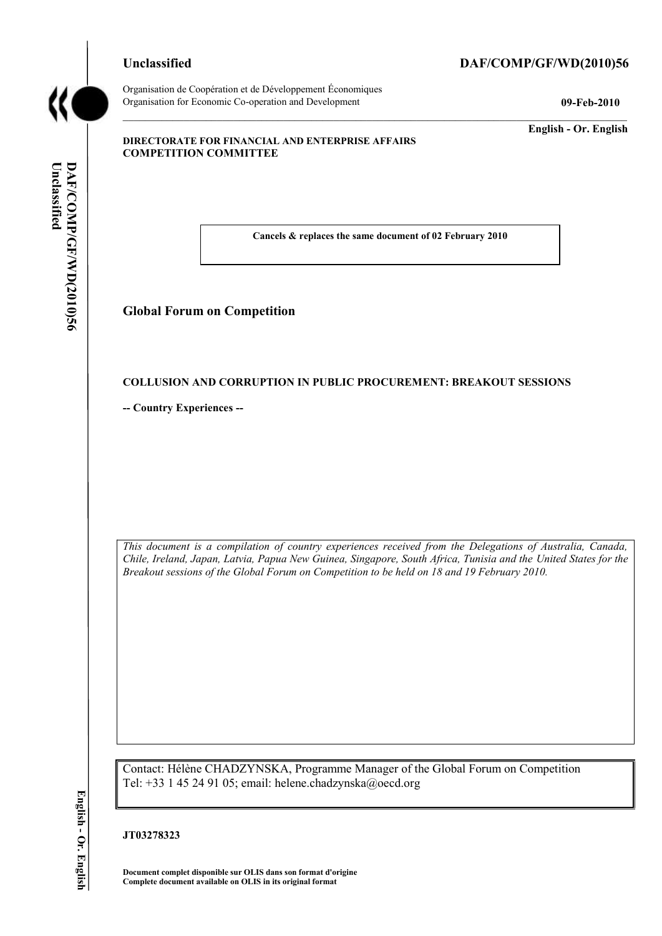#### **Unclassified DAF/COMP/GF/WD(2010)56**



Organisation de Coopération et de Développement Économiques Organisation for Economic Co-operation and Development **09-Feb-2010**

\_\_\_\_\_\_\_\_\_\_\_\_\_ **English - Or. English**

#### **DIRECTORATE FOR FINANCIAL AND ENTERPRISE AFFAIRS COMPETITION COMMITTEE**

**Cancels & replaces the same document of 02 February 2010**

**Global Forum on Competition**

#### **COLLUSION AND CORRUPTION IN PUBLIC PROCUREMENT: BREAKOUT SESSIONS**

**-- Country Experiences --**

*This document is a compilation of country experiences received from the Delegations of Australia, Canada, Chile, Ireland, Japan, Latvia, Papua New Guinea, Singapore, South Africa, Tunisia and the United States for the Breakout sessions of the Global Forum on Competition to be held on 18 and 19 February 2010.* **Complete document available on OLIS in its original format Unclassified DAF/COMP/GF/WD(2010)56 English - Or. English**

Contact: Hélène CHADZYNSKA, Programme Manager of the Global Forum on Competition Tel: +33 1 45 24 91 05; email: helene.chadzynska@oecd.org

#### **JT03278323**

**Document complet disponible sur OLIS dans son format d'origine**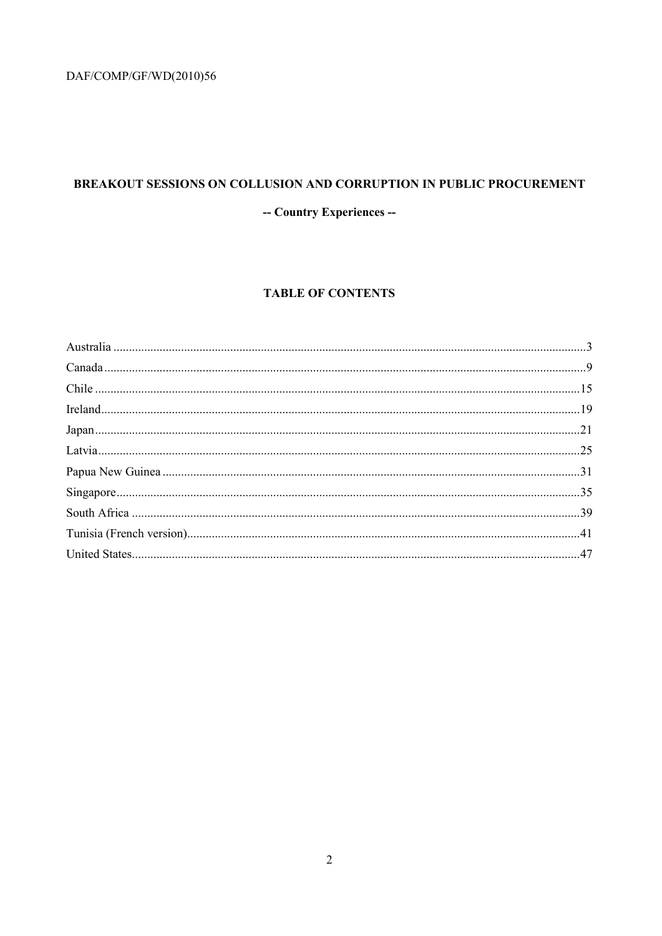#### BREAKOUT SESSIONS ON COLLUSION AND CORRUPTION IN PUBLIC PROCUREMENT

-- Country Experiences --

#### **TABLE OF CONTENTS**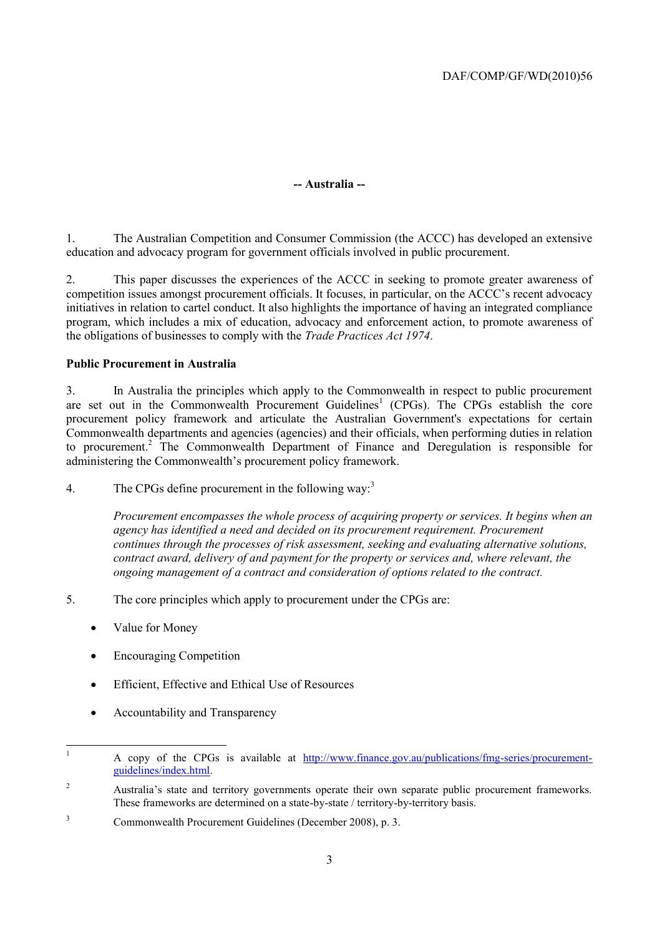#### **-- Australia --**

1. The Australian Competition and Consumer Commission (the ACCC) has developed an extensive education and advocacy program for government officials involved in public procurement.

2. This paper discusses the experiences of the ACCC in seeking to promote greater awareness of competition issues amongst procurement officials. It focuses, in particular, on the ACCC's recent advocacy initiatives in relation to cartel conduct. It also highlights the importance of having an integrated compliance program, which includes a mix of education, advocacy and enforcement action, to promote awareness of the obligations of businesses to comply with the *Trade Practices Act 1974*.

#### **Public Procurement in Australia**

3. In Australia the principles which apply to the Commonwealth in respect to public procurement are set out in the Commonwealth Procurement Guidelines<sup>1</sup> (CPGs). The CPGs establish the core procurement policy framework and articulate the Australian Government's expectations for certain Commonwealth departments and agencies (agencies) and their officials, when performing duties in relation to procurement.<sup>2</sup> The Commonwealth Department of Finance and Deregulation is responsible for administering the Commonwealth's procurement policy framework.

4. The CPGs define procurement in the following way:<sup>3</sup>

*Procurement encompasses the whole process of acquiring property or services. It begins when an agency has identified a need and decided on its procurement requirement. Procurement continues through the processes of risk assessment, seeking and evaluating alternative solutions, contract award, delivery of and payment for the property or services and, where relevant, the ongoing management of a contract and consideration of options related to the contract.*

- 5. The core principles which apply to procurement under the CPGs are:
	- Value for Money
	- Encouraging Competition
	- Efficient, Effective and Ethical Use of Resources
	- Accountability and Transparency

 $\mathbf{1}$ <sup>1</sup> A copy of the CPGs is available at [http://www.finance.gov.au/publications/fmg-series/procurement](http://www.finance.gov.au/publications/fmg-series/procurement-guidelines/index.html)[guidelines/index.html.](http://www.finance.gov.au/publications/fmg-series/procurement-guidelines/index.html)

<sup>&</sup>lt;sup>2</sup> Australia's state and territory governments operate their own separate public procurement frameworks. These frameworks are determined on a state-by-state / territory-by-territory basis.

<sup>3</sup> Commonwealth Procurement Guidelines (December 2008), p. 3.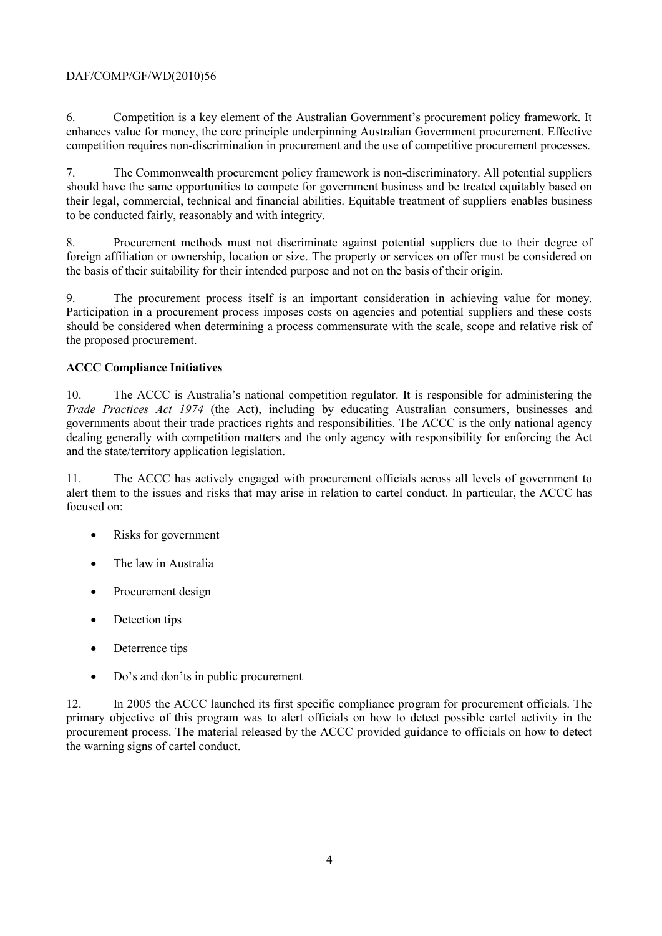6. Competition is a key element of the Australian Government's procurement policy framework. It enhances value for money, the core principle underpinning Australian Government procurement. Effective competition requires non-discrimination in procurement and the use of competitive procurement processes.

7. The Commonwealth procurement policy framework is non-discriminatory. All potential suppliers should have the same opportunities to compete for government business and be treated equitably based on their legal, commercial, technical and financial abilities. Equitable treatment of suppliers enables business to be conducted fairly, reasonably and with integrity.

8. Procurement methods must not discriminate against potential suppliers due to their degree of foreign affiliation or ownership, location or size. The property or services on offer must be considered on the basis of their suitability for their intended purpose and not on the basis of their origin.

9. The procurement process itself is an important consideration in achieving value for money. Participation in a procurement process imposes costs on agencies and potential suppliers and these costs should be considered when determining a process commensurate with the scale, scope and relative risk of the proposed procurement.

#### **ACCC Compliance Initiatives**

10. The ACCC is Australia's national competition regulator. It is responsible for administering the *Trade Practices Act 1974* (the Act), including by educating Australian consumers, businesses and governments about their trade practices rights and responsibilities. The ACCC is the only national agency dealing generally with competition matters and the only agency with responsibility for enforcing the Act and the state/territory application legislation.

11. The ACCC has actively engaged with procurement officials across all levels of government to alert them to the issues and risks that may arise in relation to cartel conduct. In particular, the ACCC has focused on:

- Risks for government
- The law in Australia
- Procurement design
- Detection tips
- Deterrence tips
- Do's and don'ts in public procurement

12. In 2005 the ACCC launched its first specific compliance program for procurement officials. The primary objective of this program was to alert officials on how to detect possible cartel activity in the procurement process. The material released by the ACCC provided guidance to officials on how to detect the warning signs of cartel conduct.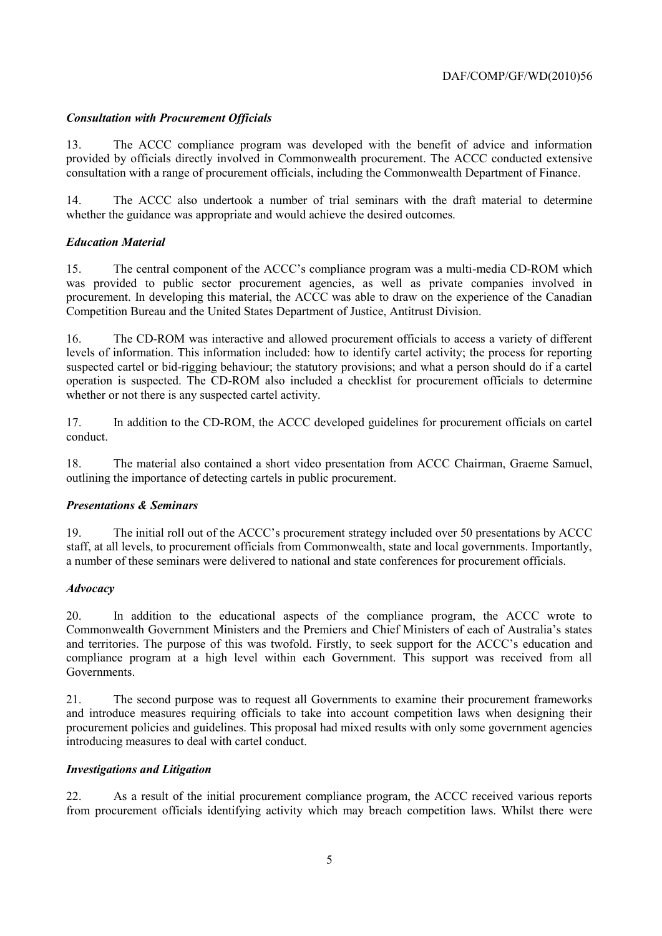#### *Consultation with Procurement Officials*

13. The ACCC compliance program was developed with the benefit of advice and information provided by officials directly involved in Commonwealth procurement. The ACCC conducted extensive consultation with a range of procurement officials, including the Commonwealth Department of Finance.

14. The ACCC also undertook a number of trial seminars with the draft material to determine whether the guidance was appropriate and would achieve the desired outcomes.

#### *Education Material*

15. The central component of the ACCC's compliance program was a multi-media CD-ROM which was provided to public sector procurement agencies, as well as private companies involved in procurement. In developing this material, the ACCC was able to draw on the experience of the Canadian Competition Bureau and the United States Department of Justice, Antitrust Division.

16. The CD-ROM was interactive and allowed procurement officials to access a variety of different levels of information. This information included: how to identify cartel activity; the process for reporting suspected cartel or bid-rigging behaviour; the statutory provisions; and what a person should do if a cartel operation is suspected. The CD-ROM also included a checklist for procurement officials to determine whether or not there is any suspected cartel activity.

17. In addition to the CD-ROM, the ACCC developed guidelines for procurement officials on cartel conduct.

18. The material also contained a short video presentation from ACCC Chairman, Graeme Samuel, outlining the importance of detecting cartels in public procurement.

#### *Presentations & Seminars*

19. The initial roll out of the ACCC's procurement strategy included over 50 presentations by ACCC staff, at all levels, to procurement officials from Commonwealth, state and local governments. Importantly, a number of these seminars were delivered to national and state conferences for procurement officials.

#### *Advocacy*

20. In addition to the educational aspects of the compliance program, the ACCC wrote to Commonwealth Government Ministers and the Premiers and Chief Ministers of each of Australia's states and territories. The purpose of this was twofold. Firstly, to seek support for the ACCC's education and compliance program at a high level within each Government. This support was received from all Governments.

21. The second purpose was to request all Governments to examine their procurement frameworks and introduce measures requiring officials to take into account competition laws when designing their procurement policies and guidelines. This proposal had mixed results with only some government agencies introducing measures to deal with cartel conduct.

#### *Investigations and Litigation*

22. As a result of the initial procurement compliance program, the ACCC received various reports from procurement officials identifying activity which may breach competition laws. Whilst there were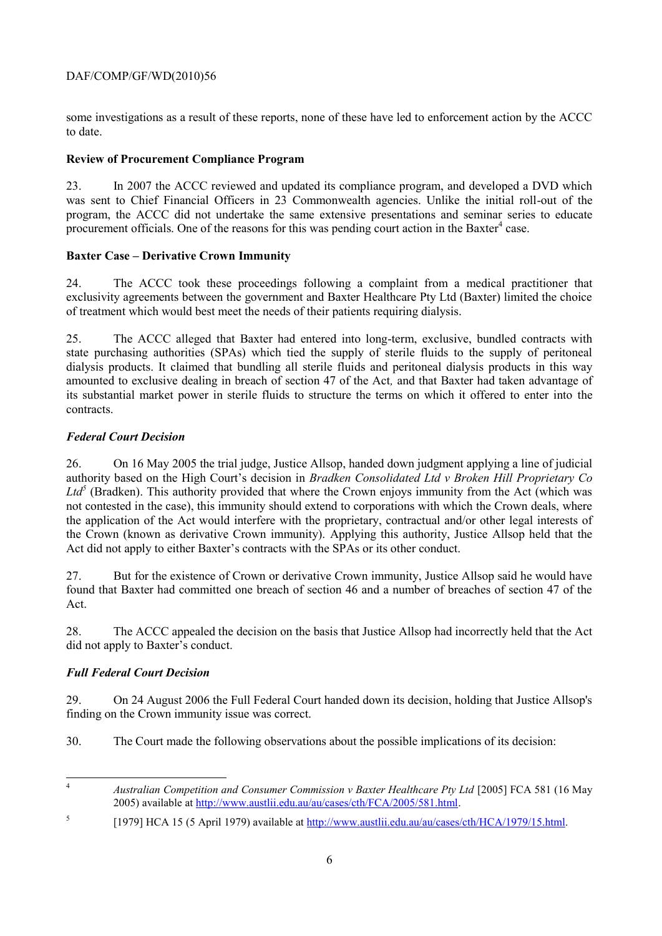some investigations as a result of these reports, none of these have led to enforcement action by the ACCC to date.

#### **Review of Procurement Compliance Program**

23. In 2007 the ACCC reviewed and updated its compliance program, and developed a DVD which was sent to Chief Financial Officers in 23 Commonwealth agencies. Unlike the initial roll-out of the program, the ACCC did not undertake the same extensive presentations and seminar series to educate procurement officials. One of the reasons for this was pending court action in the Baxter $<sup>4</sup>$  case.</sup>

#### **Baxter Case – Derivative Crown Immunity**

24. The ACCC took these proceedings following a complaint from a medical practitioner that exclusivity agreements between the government and Baxter Healthcare Pty Ltd (Baxter) limited the choice of treatment which would best meet the needs of their patients requiring dialysis.

25. The ACCC alleged that Baxter had entered into long-term, exclusive, bundled contracts with state purchasing authorities (SPAs) which tied the supply of sterile fluids to the supply of peritoneal dialysis products. It claimed that bundling all sterile fluids and peritoneal dialysis products in this way amounted to exclusive dealing in breach of section 47 of the Act*,* and that Baxter had taken advantage of its substantial market power in sterile fluids to structure the terms on which it offered to enter into the contracts.

#### *Federal Court Decision*

26. On 16 May 2005 the trial judge, Justice Allsop, handed down judgment applying a line of judicial authority based on the High Court's decision in *Bradken Consolidated Ltd v Broken Hill Proprietary Co*  Ltd<sup>5</sup> (Bradken). This authority provided that where the Crown enjoys immunity from the Act (which was not contested in the case), this immunity should extend to corporations with which the Crown deals, where the application of the Act would interfere with the proprietary, contractual and/or other legal interests of the Crown (known as derivative Crown immunity). Applying this authority, Justice Allsop held that the Act did not apply to either Baxter's contracts with the SPAs or its other conduct.

27. But for the existence of Crown or derivative Crown immunity, Justice Allsop said he would have found that Baxter had committed one breach of section 46 and a number of breaches of section 47 of the Act.

28. The ACCC appealed the decision on the basis that Justice Allsop had incorrectly held that the Act did not apply to Baxter's conduct.

#### *Full Federal Court Decision*

29. On 24 August 2006 the Full Federal Court handed down its decision, holding that Justice Allsop's finding on the Crown immunity issue was correct.

30. The Court made the following observations about the possible implications of its decision:

 $\overline{A}$ <sup>4</sup> *Australian Competition and Consumer Commission v Baxter Healthcare Pty Ltd* [2005] FCA 581 (16 May 2005) available at [http://www.austlii.edu.au/au/cases/cth/FCA/2005/581.html.](http://www.austlii.edu.au/au/cases/cth/FCA/2005/581.html)

<sup>5</sup> [1979] HCA 15 (5 April 1979) available at [http://www.austlii.edu.au/au/cases/cth/HCA/1979/15.html.](http://www.austlii.edu.au/au/cases/cth/HCA/1979/15.html)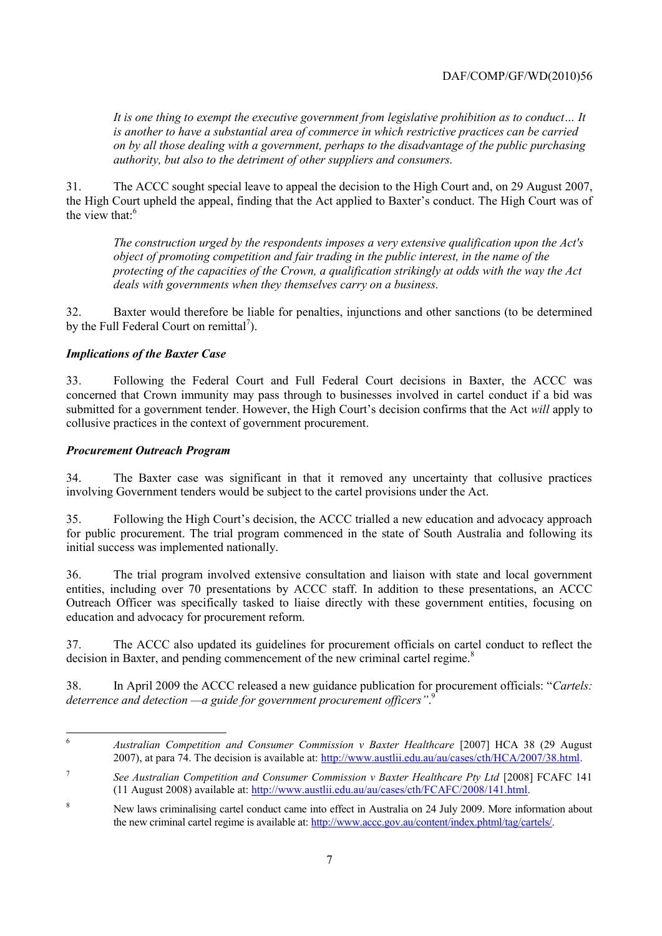*It is one thing to exempt the executive government from legislative prohibition as to conduct… It is another to have a substantial area of commerce in which restrictive practices can be carried on by all those dealing with a government, perhaps to the disadvantage of the public purchasing authority, but also to the detriment of other suppliers and consumers.*

31. The ACCC sought special leave to appeal the decision to the High Court and, on 29 August 2007, the High Court upheld the appeal, finding that the Act applied to Baxter's conduct. The High Court was of the view that. $6$ 

*The construction urged by the respondents imposes a very extensive qualification upon the Act's object of promoting competition and fair trading in the public interest, in the name of the protecting of the capacities of the Crown, a qualification strikingly at odds with the way the Act deals with governments when they themselves carry on a business.*

32. Baxter would therefore be liable for penalties, injunctions and other sanctions (to be determined by the Full Federal Court on remittal<sup>7</sup>).

#### *Implications of the Baxter Case*

33. Following the Federal Court and Full Federal Court decisions in Baxter, the ACCC was concerned that Crown immunity may pass through to businesses involved in cartel conduct if a bid was submitted for a government tender. However, the High Court's decision confirms that the Act *will* apply to collusive practices in the context of government procurement.

#### *Procurement Outreach Program*

34. The Baxter case was significant in that it removed any uncertainty that collusive practices involving Government tenders would be subject to the cartel provisions under the Act.

35. Following the High Court's decision, the ACCC trialled a new education and advocacy approach for public procurement. The trial program commenced in the state of South Australia and following its initial success was implemented nationally.

36. The trial program involved extensive consultation and liaison with state and local government entities, including over 70 presentations by ACCC staff. In addition to these presentations, an ACCC Outreach Officer was specifically tasked to liaise directly with these government entities, focusing on education and advocacy for procurement reform.

37. The ACCC also updated its guidelines for procurement officials on cartel conduct to reflect the decision in Baxter, and pending commencement of the new criminal cartel regime.<sup>8</sup>

38. In April 2009 the ACCC released a new guidance publication for procurement officials: "*Cartels: deterrence and detection —a guide for government procurement officers"*. 9

 $\overline{6}$ <sup>6</sup> *Australian Competition and Consumer Commission v Baxter Healthcare* [2007] HCA 38 (29 August 2007), at para 74. The decision is available at: [http://www.austlii.edu.au/au/cases/cth/HCA/2007/38.html.](http://www.austlii.edu.au/au/cases/cth/HCA/2007/38.html)

<sup>7</sup> *See Australian Competition and Consumer Commission v Baxter Healthcare Pty Ltd* [2008] FCAFC 141 (11 August 2008) available at: [http://www.austlii.edu.au/au/cases/cth/FCAFC/2008/141.html.](http://www.austlii.edu.au/au/cases/cth/FCAFC/2008/141.html)

<sup>&</sup>lt;sup>8</sup> New laws criminalising cartel conduct came into effect in Australia on 24 July 2009. More information about the new criminal cartel regime is available at: [http://www.accc.gov.au/content/index.phtml/tag/cartels/.](http://www.accc.gov.au/content/index.phtml/tag/cartels/)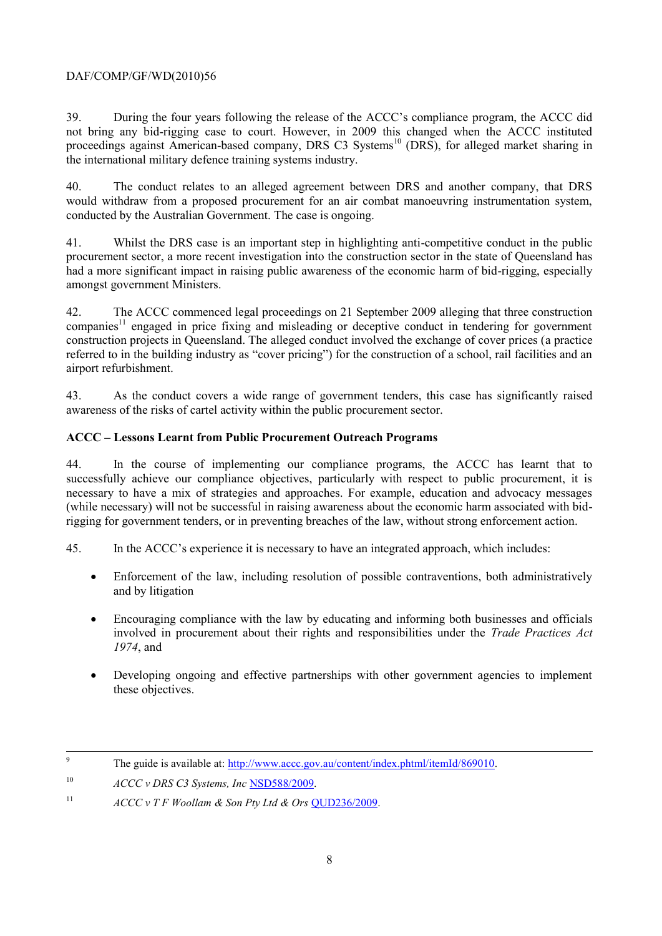39. During the four years following the release of the ACCC's compliance program, the ACCC did not bring any bid-rigging case to court. However, in 2009 this changed when the ACCC instituted proceedings against American-based company, DRS C3 Systems<sup>10</sup> (DRS), for alleged market sharing in the international military defence training systems industry.

40. The conduct relates to an alleged agreement between DRS and another company, that DRS would withdraw from a proposed procurement for an air combat manoeuvring instrumentation system, conducted by the Australian Government. The case is ongoing.

41. Whilst the DRS case is an important step in highlighting anti-competitive conduct in the public procurement sector, a more recent investigation into the construction sector in the state of Queensland has had a more significant impact in raising public awareness of the economic harm of bid-rigging, especially amongst government Ministers.

42. The ACCC commenced legal proceedings on 21 September 2009 alleging that three construction companies<sup>11</sup> engaged in price fixing and misleading or deceptive conduct in tendering for government construction projects in Queensland. The alleged conduct involved the exchange of cover prices (a practice referred to in the building industry as "cover pricing") for the construction of a school, rail facilities and an airport refurbishment.

43. As the conduct covers a wide range of government tenders, this case has significantly raised awareness of the risks of cartel activity within the public procurement sector.

#### **ACCC – Lessons Learnt from Public Procurement Outreach Programs**

44. In the course of implementing our compliance programs, the ACCC has learnt that to successfully achieve our compliance objectives, particularly with respect to public procurement, it is necessary to have a mix of strategies and approaches. For example, education and advocacy messages (while necessary) will not be successful in raising awareness about the economic harm associated with bidrigging for government tenders, or in preventing breaches of the law, without strong enforcement action.

45. In the ACCC's experience it is necessary to have an integrated approach, which includes:

- Enforcement of the law, including resolution of possible contraventions, both administratively and by litigation
- Encouraging compliance with the law by educating and informing both businesses and officials involved in procurement about their rights and responsibilities under the *Trade Practices Act 1974*, and
- Developing ongoing and effective partnerships with other government agencies to implement these objectives.

 $\overline{Q}$ The guide is available at: [http://www.accc.gov.au/content/index.phtml/itemId/869010.](http://www.accc.gov.au/content/index.phtml/itemId/869010)

<sup>10</sup> *ACCC v DRS C3 Systems, Inc* [NSD588/2009.](https://www.comcourts.gov.au/file/Federal/P/NSD588/2009/actions)

<sup>&</sup>lt;sup>11</sup>  $ACCC \vee TF$  *Woollam & Son Ptv Ltd & Ors*  $\overline{OUD236/2009}$ .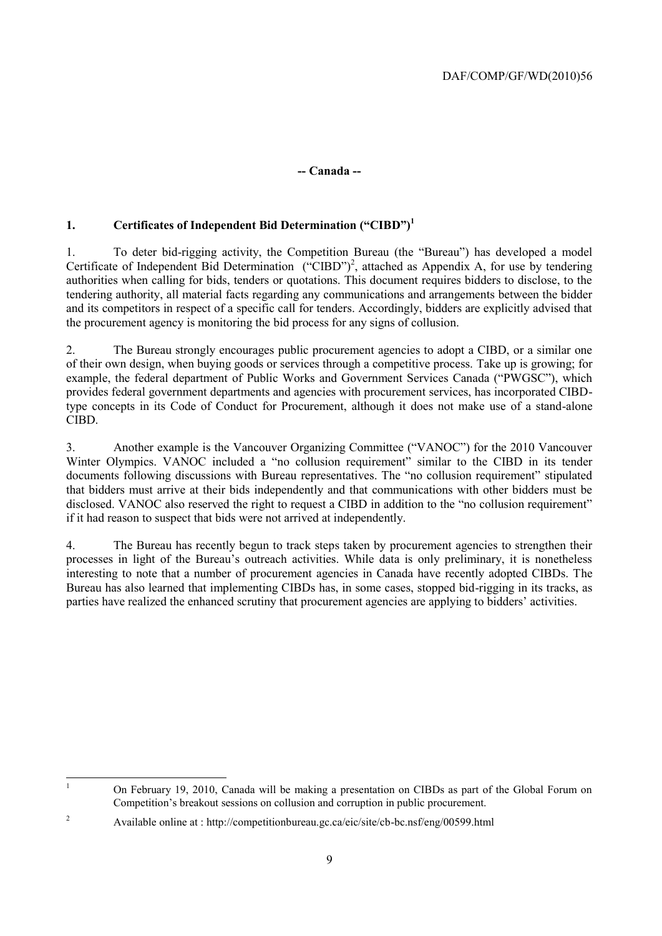#### **-- Canada --**

#### **1. Certificates of Independent Bid Determination ("CIBD")<sup>1</sup>**

1. To deter bid-rigging activity, the Competition Bureau (the "Bureau") has developed a model Certificate of Independent Bid Determination ("CIBD")<sup>2</sup>, attached as Appendix A, for use by tendering authorities when calling for bids, tenders or quotations. This document requires bidders to disclose, to the tendering authority, all material facts regarding any communications and arrangements between the bidder and its competitors in respect of a specific call for tenders. Accordingly, bidders are explicitly advised that the procurement agency is monitoring the bid process for any signs of collusion.

2. The Bureau strongly encourages public procurement agencies to adopt a CIBD, or a similar one of their own design, when buying goods or services through a competitive process. Take up is growing; for example, the federal department of Public Works and Government Services Canada ("PWGSC"), which provides federal government departments and agencies with procurement services, has incorporated CIBDtype concepts in its Code of Conduct for Procurement, although it does not make use of a stand-alone CIBD.

3. Another example is the Vancouver Organizing Committee ("VANOC") for the 2010 Vancouver Winter Olympics. VANOC included a "no collusion requirement" similar to the CIBD in its tender documents following discussions with Bureau representatives. The "no collusion requirement" stipulated that bidders must arrive at their bids independently and that communications with other bidders must be disclosed. VANOC also reserved the right to request a CIBD in addition to the "no collusion requirement" if it had reason to suspect that bids were not arrived at independently.

4. The Bureau has recently begun to track steps taken by procurement agencies to strengthen their processes in light of the Bureau's outreach activities. While data is only preliminary, it is nonetheless interesting to note that a number of procurement agencies in Canada have recently adopted CIBDs. The Bureau has also learned that implementing CIBDs has, in some cases, stopped bid-rigging in its tracks, as parties have realized the enhanced scrutiny that procurement agencies are applying to bidders' activities.

 $\mathbf{1}$ <sup>1</sup> On February 19, 2010, Canada will be making a presentation on CIBDs as part of the Global Forum on Competition's breakout sessions on collusion and corruption in public procurement.

<sup>&</sup>lt;sup>2</sup> Available online at : http://competitionbureau.gc.ca/eic/site/cb-bc.nsf/eng/00599.html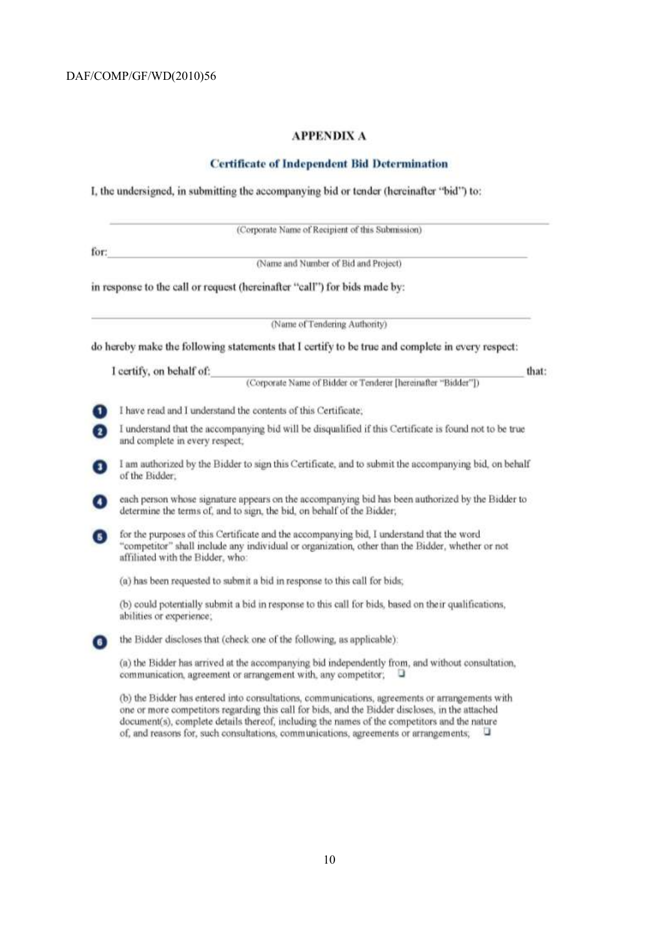#### **APPENDIX A**

#### **Certificate of Independent Bid Determination**

I, the undersigned, in submitting the accompanying bid or tender (hereinafter "bid") to:

|                | (Corporate Name of Recipient of this Submission)                                                                                                                                                                                  |
|----------------|-----------------------------------------------------------------------------------------------------------------------------------------------------------------------------------------------------------------------------------|
| for:           |                                                                                                                                                                                                                                   |
|                | (Name and Number of Bid and Project)                                                                                                                                                                                              |
|                | in response to the call or request (hereinafter "call") for bids made by:                                                                                                                                                         |
|                | (Name of Tendering Authority)                                                                                                                                                                                                     |
|                | do hereby make the following statements that I certify to be true and complete in every respect:                                                                                                                                  |
|                | I certify, on behalf of:<br>that:                                                                                                                                                                                                 |
|                | (Corporate Name of Bidder or Tenderer [hereinafter "Bidder"])                                                                                                                                                                     |
| $\blacksquare$ | I have read and I understand the contents of this Certificate,                                                                                                                                                                    |
| $\bf{c}$       | I understand that the accompanying bid will be disqualified if this Certificate is found not to be true<br>and complete in every respect;                                                                                         |
| ο              | I am authorized by the Bidder to sign this Certificate, and to submit the accompanying bid, on behalf<br>of the Bidder.                                                                                                           |
| 0              | each person whose signature appears on the accompanying bid has been authorized by the Bidder to<br>determine the terms of, and to sign, the bid, on behalf of the Bidder;                                                        |
| 6              | for the purposes of this Certificate and the accompanying bid, I understand that the word<br>"competitor" shall include any individual or organization, other than the Bidder, whether or not<br>affiliated with the Bidder, who: |
|                | (a) has been requested to submit a bid in response to this call for bids;                                                                                                                                                         |
|                | (b) could potentially submit a bid in response to this call for bids, based on their qualifications,<br>abilities or experience;                                                                                                  |
| $\blacksquare$ | the Bidder discloses that (check one of the following, as applicable):                                                                                                                                                            |
|                | (a) the Bidder has arrived at the accompanying bid independently from, and without consultation,<br>u<br>communication, agreement or arrangement with, any competitor;                                                            |

(b) the Bidder has entered into consultations, communications, agreements or arrangements with one or more competitors regarding this call for bids, and the Bidder discloses, in the attached document(s), complete details thereof, including the names of the competitors and the nature of, and reasons for, such consultations, communications, agreements or arrangements; U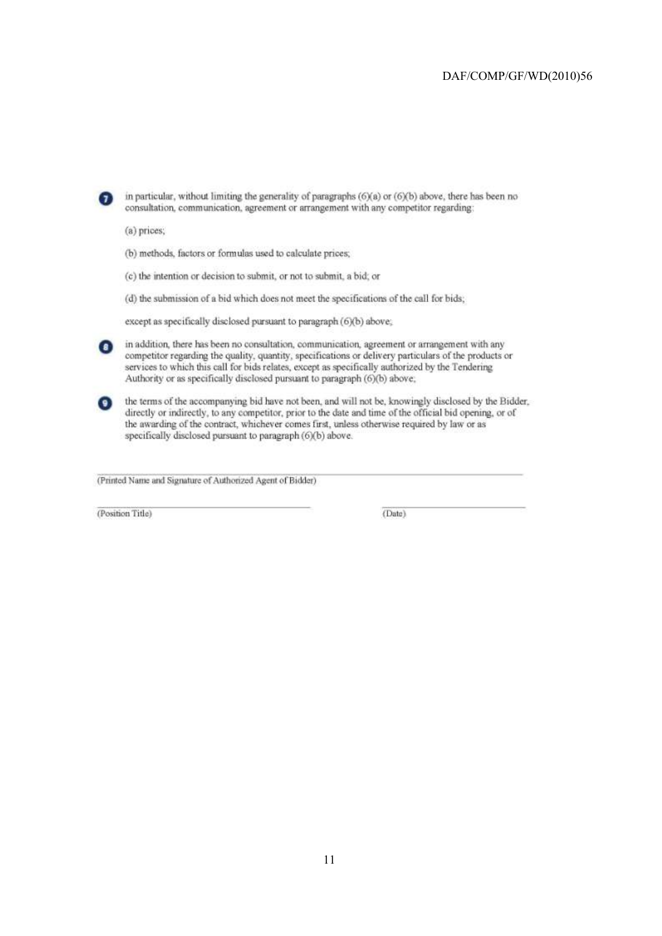

the terms of the accompanying bid have not been, and will not be, knowingly disclosed by the Bidder, directly or indirectly, to any competitor, prior to the date and time of the official bid opening, or of the awarding of the contract, whichever comes first, unless otherwise required by law or as specifically disclosed pursuant to paragraph (6)(b) above.

(Printed Name and Signature of Authorized Agent of Bidder)

(Position Title)

(Date)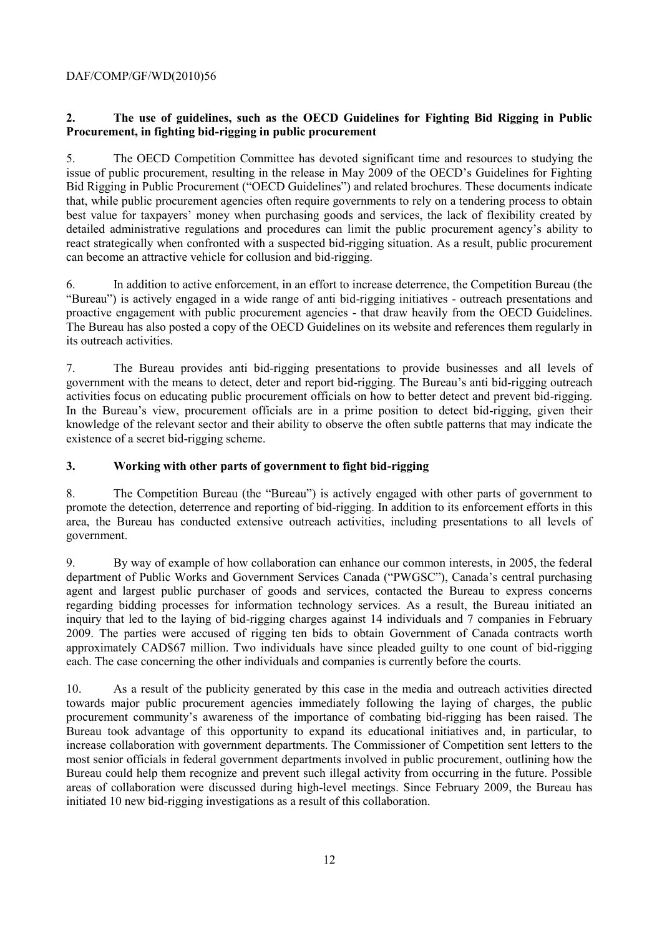#### **2. The use of guidelines, such as the OECD Guidelines for Fighting Bid Rigging in Public Procurement, in fighting bid-rigging in public procurement**

5. The OECD Competition Committee has devoted significant time and resources to studying the issue of public procurement, resulting in the release in May 2009 of the OECD's Guidelines for Fighting Bid Rigging in Public Procurement ("OECD Guidelines") and related brochures. These documents indicate that, while public procurement agencies often require governments to rely on a tendering process to obtain best value for taxpayers' money when purchasing goods and services, the lack of flexibility created by detailed administrative regulations and procedures can limit the public procurement agency's ability to react strategically when confronted with a suspected bid-rigging situation. As a result, public procurement can become an attractive vehicle for collusion and bid-rigging.

6. In addition to active enforcement, in an effort to increase deterrence, the Competition Bureau (the "Bureau") is actively engaged in a wide range of anti bid-rigging initiatives - outreach presentations and proactive engagement with public procurement agencies - that draw heavily from the OECD Guidelines. The Bureau has also posted a copy of the OECD Guidelines on its website and references them regularly in its outreach activities.

7. The Bureau provides anti bid-rigging presentations to provide businesses and all levels of government with the means to detect, deter and report bid-rigging. The Bureau's anti bid-rigging outreach activities focus on educating public procurement officials on how to better detect and prevent bid-rigging. In the Bureau's view, procurement officials are in a prime position to detect bid-rigging, given their knowledge of the relevant sector and their ability to observe the often subtle patterns that may indicate the existence of a secret bid-rigging scheme.

#### **3. Working with other parts of government to fight bid-rigging**

8. The Competition Bureau (the "Bureau") is actively engaged with other parts of government to promote the detection, deterrence and reporting of bid-rigging. In addition to its enforcement efforts in this area, the Bureau has conducted extensive outreach activities, including presentations to all levels of government.

9. By way of example of how collaboration can enhance our common interests, in 2005, the federal department of Public Works and Government Services Canada ("PWGSC"), Canada's central purchasing agent and largest public purchaser of goods and services, contacted the Bureau to express concerns regarding bidding processes for information technology services. As a result, the Bureau initiated an inquiry that led to the laying of bid-rigging charges against 14 individuals and 7 companies in February 2009. The parties were accused of rigging ten bids to obtain Government of Canada contracts worth approximately CAD\$67 million. Two individuals have since pleaded guilty to one count of bid-rigging each. The case concerning the other individuals and companies is currently before the courts.

10. As a result of the publicity generated by this case in the media and outreach activities directed towards major public procurement agencies immediately following the laying of charges, the public procurement community's awareness of the importance of combating bid-rigging has been raised. The Bureau took advantage of this opportunity to expand its educational initiatives and, in particular, to increase collaboration with government departments. The Commissioner of Competition sent letters to the most senior officials in federal government departments involved in public procurement, outlining how the Bureau could help them recognize and prevent such illegal activity from occurring in the future. Possible areas of collaboration were discussed during high-level meetings. Since February 2009, the Bureau has initiated 10 new bid-rigging investigations as a result of this collaboration.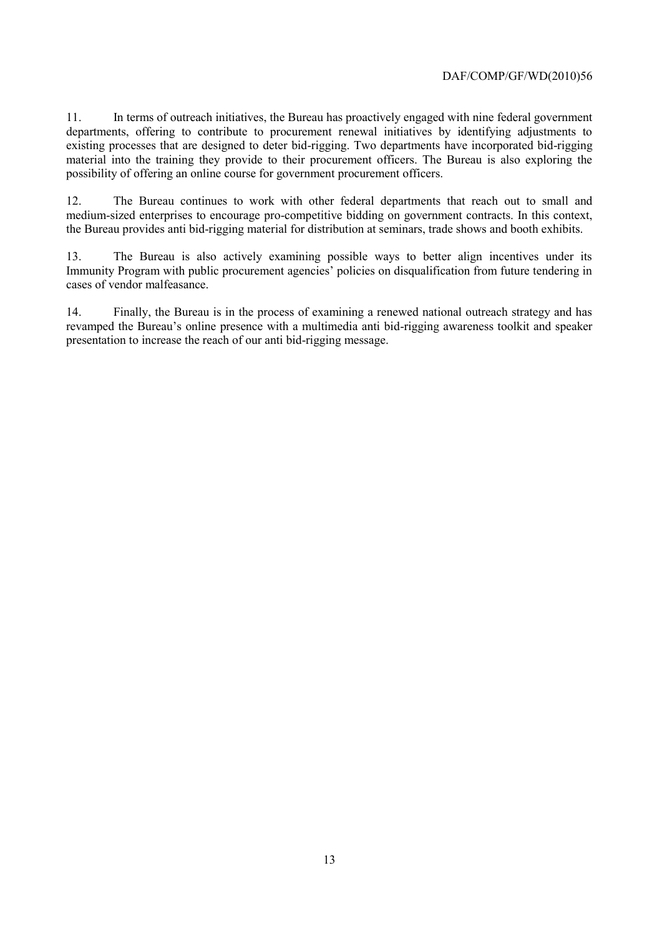11. In terms of outreach initiatives, the Bureau has proactively engaged with nine federal government departments, offering to contribute to procurement renewal initiatives by identifying adjustments to existing processes that are designed to deter bid-rigging. Two departments have incorporated bid-rigging material into the training they provide to their procurement officers. The Bureau is also exploring the possibility of offering an online course for government procurement officers.

12. The Bureau continues to work with other federal departments that reach out to small and medium-sized enterprises to encourage pro-competitive bidding on government contracts. In this context, the Bureau provides anti bid-rigging material for distribution at seminars, trade shows and booth exhibits.

13. The Bureau is also actively examining possible ways to better align incentives under its Immunity Program with public procurement agencies' policies on disqualification from future tendering in cases of vendor malfeasance.

14. Finally, the Bureau is in the process of examining a renewed national outreach strategy and has revamped the Bureau's online presence with a multimedia anti bid-rigging awareness toolkit and speaker presentation to increase the reach of our anti bid-rigging message.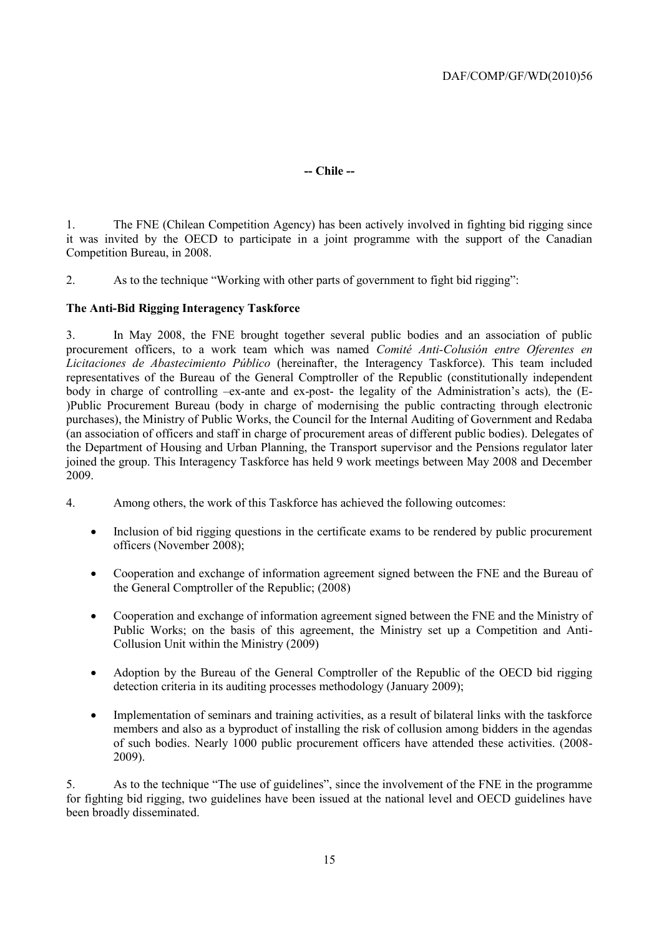#### **-- Chile --**

1. The FNE (Chilean Competition Agency) has been actively involved in fighting bid rigging since it was invited by the OECD to participate in a joint programme with the support of the Canadian Competition Bureau, in 2008.

2. As to the technique "Working with other parts of government to fight bid rigging":

#### **The Anti-Bid Rigging Interagency Taskforce**

3. In May 2008, the FNE brought together several public bodies and an association of public procurement officers, to a work team which was named *Comité Anti-Colusión entre Oferentes en Licitaciones de Abastecimiento Público* (hereinafter, the Interagency Taskforce). This team included representatives of the Bureau of the General Comptroller of the Republic (constitutionally independent body in charge of controlling –ex-ante and ex-post- the legality of the Administration's acts)*,* the (E- )Public Procurement Bureau (body in charge of modernising the public contracting through electronic purchases), the Ministry of Public Works, the Council for the Internal Auditing of Government and Redaba (an association of officers and staff in charge of procurement areas of different public bodies). Delegates of the Department of Housing and Urban Planning, the Transport supervisor and the Pensions regulator later joined the group. This Interagency Taskforce has held 9 work meetings between May 2008 and December 2009.

- 4. Among others, the work of this Taskforce has achieved the following outcomes:
	- Inclusion of bid rigging questions in the certificate exams to be rendered by public procurement officers (November 2008);
	- Cooperation and exchange of information agreement signed between the FNE and the Bureau of the General Comptroller of the Republic; (2008)
	- Cooperation and exchange of information agreement signed between the FNE and the Ministry of Public Works; on the basis of this agreement, the Ministry set up a Competition and Anti-Collusion Unit within the Ministry (2009)
	- Adoption by the Bureau of the General Comptroller of the Republic of the OECD bid rigging detection criteria in its auditing processes methodology (January 2009);
	- Implementation of seminars and training activities, as a result of bilateral links with the taskforce members and also as a byproduct of installing the risk of collusion among bidders in the agendas of such bodies. Nearly 1000 public procurement officers have attended these activities. (2008- 2009).

5. As to the technique "The use of guidelines", since the involvement of the FNE in the programme for fighting bid rigging, two guidelines have been issued at the national level and OECD guidelines have been broadly disseminated.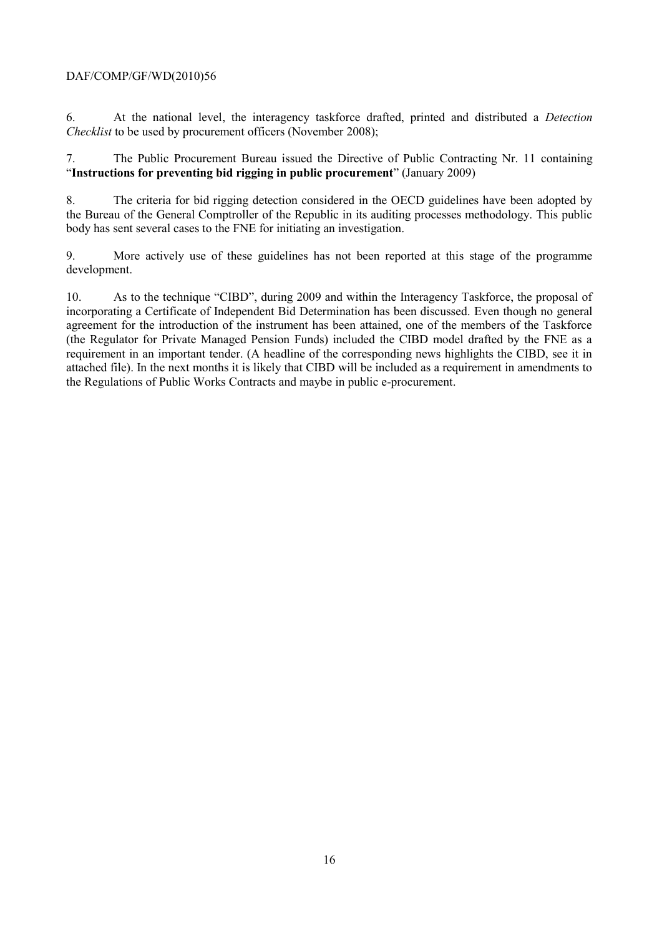6. At the national level, the interagency taskforce drafted, printed and distributed a *Detection Checklist* to be used by procurement officers (November 2008);

7. The Public Procurement Bureau issued the Directive of Public Contracting Nr. 11 containing "**Instructions for preventing bid rigging in public procurement**" (January 2009)

8. The criteria for bid rigging detection considered in the OECD guidelines have been adopted by the Bureau of the General Comptroller of the Republic in its auditing processes methodology. This public body has sent several cases to the FNE for initiating an investigation.

9. More actively use of these guidelines has not been reported at this stage of the programme development.

10. As to the technique "CIBD", during 2009 and within the Interagency Taskforce, the proposal of incorporating a Certificate of Independent Bid Determination has been discussed. Even though no general agreement for the introduction of the instrument has been attained, one of the members of the Taskforce (the Regulator for Private Managed Pension Funds) included the CIBD model drafted by the FNE as a requirement in an important tender. (A headline of the corresponding news highlights the CIBD, see it in attached file). In the next months it is likely that CIBD will be included as a requirement in amendments to the Regulations of Public Works Contracts and maybe in public e-procurement.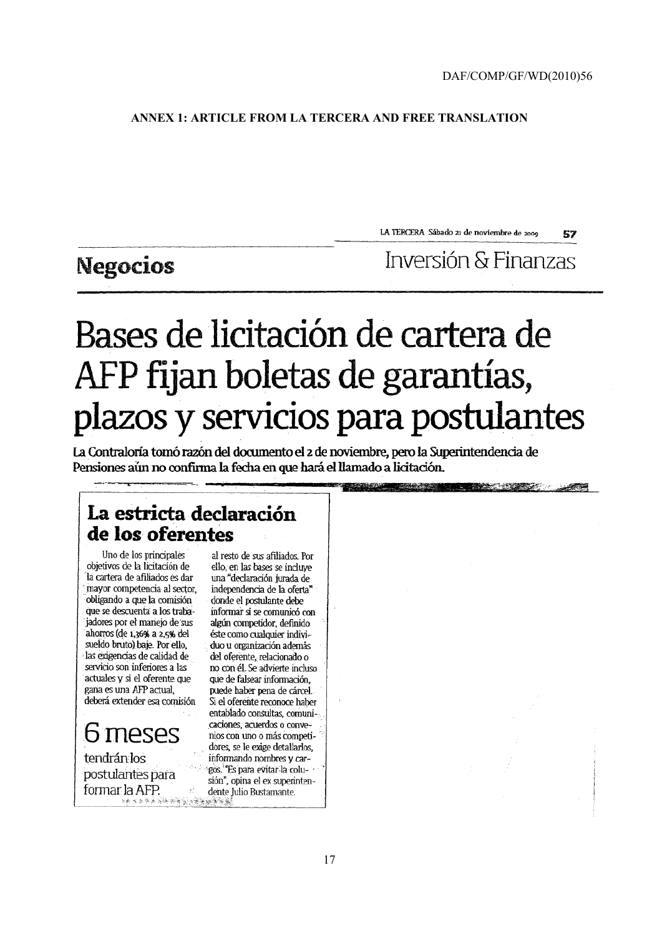#### **ANNEX 1: ARTICLE FROM LA TERCERA AND FREE TRANSLATION**

LA TERCERA Sábado zi de noviembre de 2000 57

# **Negocios**

Inversión & Finanzas

**CONTRACTOR** 

# Bases de licitación de cartera de AFP fijan boletas de garantías, plazos y servicios para postulantes

La Contraloría tomó razón del documento el 2 de noviembre, pero la Superintendencia de Pensiones aún no confirma la fecha en que hará el llamado a licitación.

## La estricta declaración de los oferentes

Uno de los principales objetivos de la licitación de la cartera de afiliados és dar mayor competencia al sector, obligando a que la comisión que se descuenta a los trabajadores por el manejo de sus ahorros (de 1,36% a 2,5% del sueldo bruto) baje. Por ello, las exigencias de calidad de servicio son inferiores a las actuales y si el oferente que gana es una AFP actual. deberá extender esa comisión

6 meses tendrán los postulantes para formar la AFP.

al resto de sus afiliados. Por ello, en las bases se incluve una "declaración jurada de independencia de la oferta" donde el postulante debe informar si se comunicó con algún competidor, definido éste como cualquier individuo u organización además del oferente, relacionado o no con él. Se advierte incluso que de falsear información. puede haber pena de cárcel. Si el oferente reconoce haber entablado consultas, comunicaciones, acuerdos o convenios con uno o más competidores, se le exige detallarlos, informando nombres y cargos. "Es para evitar la colusión", opina el ex superintendente Julio Bustamante.  $\label{eq:4.1} \begin{split} \mathbb{E}_{\mathcal{B}}\left(\mathcal{L}\left(\mathbf{g}_{\mathcal{B}}\right)\mathcal{L}\right)=\mathbb{E}_{\mathcal{B}}\left(\mathcal{L}\right)\mathbb{E}_{\mathcal{B}}\left(\mathcal{L}\right)\mathbb{E}_{\mathcal{B}}\left(\mathcal{L}\right)\mathbb{E}_{\mathcal{B}}\left(\mathcal{L}\right)\mathbb{E}_{\mathcal{B}}\left(\mathcal{L}\right)\mathbb{E}_{\mathcal{B}}\left(\mathcal{L}\right)\mathbb{E}_{\mathcal{B}}\left(\mathcal{L}\right)\mathbb{E}_{\mathcal{B}}\left(\math$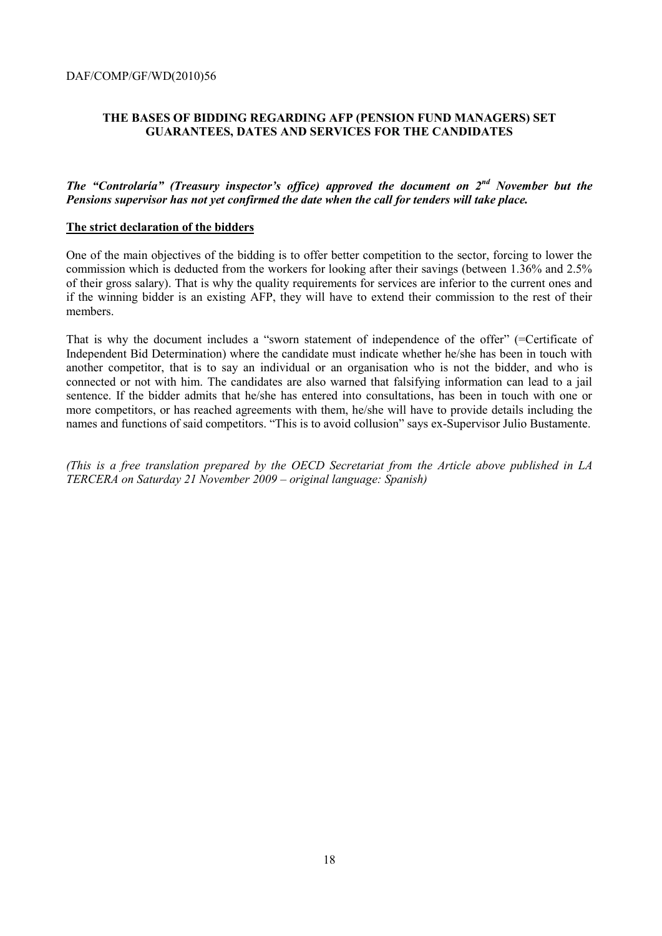#### **THE BASES OF BIDDING REGARDING AFP (PENSION FUND MANAGERS) SET GUARANTEES, DATES AND SERVICES FOR THE CANDIDATES**

#### *The "Controlaría" (Treasury inspector's office) approved the document on 2nd November but the Pensions supervisor has not yet confirmed the date when the call for tenders will take place.*

#### **The strict declaration of the bidders**

One of the main objectives of the bidding is to offer better competition to the sector, forcing to lower the commission which is deducted from the workers for looking after their savings (between 1.36% and 2.5% of their gross salary). That is why the quality requirements for services are inferior to the current ones and if the winning bidder is an existing AFP, they will have to extend their commission to the rest of their members.

That is why the document includes a "sworn statement of independence of the offer" (=Certificate of Independent Bid Determination) where the candidate must indicate whether he/she has been in touch with another competitor, that is to say an individual or an organisation who is not the bidder, and who is connected or not with him. The candidates are also warned that falsifying information can lead to a jail sentence. If the bidder admits that he/she has entered into consultations, has been in touch with one or more competitors, or has reached agreements with them, he/she will have to provide details including the names and functions of said competitors. "This is to avoid collusion" says ex-Supervisor Julio Bustamente.

*(This is a free translation prepared by the OECD Secretariat from the Article above published in LA TERCERA on Saturday 21 November 2009 – original language: Spanish)*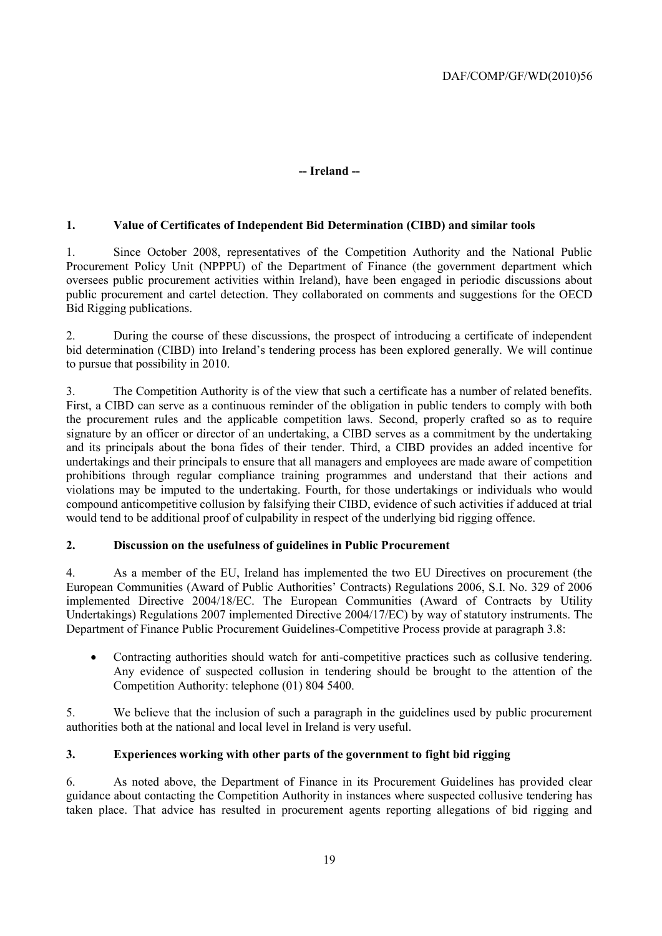#### **-- Ireland --**

#### **1. Value of Certificates of Independent Bid Determination (CIBD) and similar tools**

1. Since October 2008, representatives of the Competition Authority and the National Public Procurement Policy Unit (NPPPU) of the Department of Finance (the government department which oversees public procurement activities within Ireland), have been engaged in periodic discussions about public procurement and cartel detection. They collaborated on comments and suggestions for the OECD Bid Rigging publications.

2. During the course of these discussions, the prospect of introducing a certificate of independent bid determination (CIBD) into Ireland's tendering process has been explored generally. We will continue to pursue that possibility in 2010.

3. The Competition Authority is of the view that such a certificate has a number of related benefits. First, a CIBD can serve as a continuous reminder of the obligation in public tenders to comply with both the procurement rules and the applicable competition laws. Second, properly crafted so as to require signature by an officer or director of an undertaking, a CIBD serves as a commitment by the undertaking and its principals about the bona fides of their tender. Third, a CIBD provides an added incentive for undertakings and their principals to ensure that all managers and employees are made aware of competition prohibitions through regular compliance training programmes and understand that their actions and violations may be imputed to the undertaking. Fourth, for those undertakings or individuals who would compound anticompetitive collusion by falsifying their CIBD, evidence of such activities if adduced at trial would tend to be additional proof of culpability in respect of the underlying bid rigging offence.

#### **2. Discussion on the usefulness of guidelines in Public Procurement**

4. As a member of the EU, Ireland has implemented the two EU Directives on procurement (the European Communities (Award of Public Authorities' Contracts) Regulations 2006, S.I. No. 329 of 2006 implemented Directive 2004/18/EC. The European Communities (Award of Contracts by Utility Undertakings) Regulations 2007 implemented Directive 2004/17/EC) by way of statutory instruments. The Department of Finance Public Procurement Guidelines-Competitive Process provide at paragraph 3.8:

 Contracting authorities should watch for anti-competitive practices such as collusive tendering. Any evidence of suspected collusion in tendering should be brought to the attention of the Competition Authority: telephone (01) 804 5400.

5. We believe that the inclusion of such a paragraph in the guidelines used by public procurement authorities both at the national and local level in Ireland is very useful.

#### **3. Experiences working with other parts of the government to fight bid rigging**

6. As noted above, the Department of Finance in its Procurement Guidelines has provided clear guidance about contacting the Competition Authority in instances where suspected collusive tendering has taken place. That advice has resulted in procurement agents reporting allegations of bid rigging and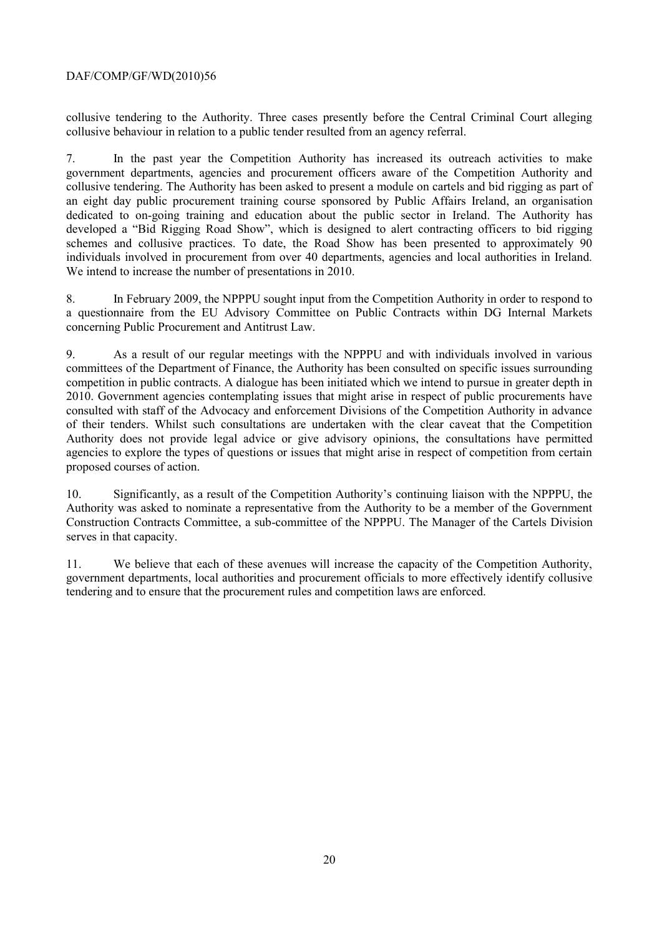collusive tendering to the Authority. Three cases presently before the Central Criminal Court alleging collusive behaviour in relation to a public tender resulted from an agency referral.

7. In the past year the Competition Authority has increased its outreach activities to make government departments, agencies and procurement officers aware of the Competition Authority and collusive tendering. The Authority has been asked to present a module on cartels and bid rigging as part of an eight day public procurement training course sponsored by Public Affairs Ireland, an organisation dedicated to on-going training and education about the public sector in Ireland. The Authority has developed a "Bid Rigging Road Show", which is designed to alert contracting officers to bid rigging schemes and collusive practices. To date, the Road Show has been presented to approximately 90 individuals involved in procurement from over 40 departments, agencies and local authorities in Ireland. We intend to increase the number of presentations in 2010.

8. In February 2009, the NPPPU sought input from the Competition Authority in order to respond to a questionnaire from the EU Advisory Committee on Public Contracts within DG Internal Markets concerning Public Procurement and Antitrust Law.

9. As a result of our regular meetings with the NPPPU and with individuals involved in various committees of the Department of Finance, the Authority has been consulted on specific issues surrounding competition in public contracts. A dialogue has been initiated which we intend to pursue in greater depth in 2010. Government agencies contemplating issues that might arise in respect of public procurements have consulted with staff of the Advocacy and enforcement Divisions of the Competition Authority in advance of their tenders. Whilst such consultations are undertaken with the clear caveat that the Competition Authority does not provide legal advice or give advisory opinions, the consultations have permitted agencies to explore the types of questions or issues that might arise in respect of competition from certain proposed courses of action.

10. Significantly, as a result of the Competition Authority's continuing liaison with the NPPPU, the Authority was asked to nominate a representative from the Authority to be a member of the Government Construction Contracts Committee, a sub-committee of the NPPPU. The Manager of the Cartels Division serves in that capacity.

11. We believe that each of these avenues will increase the capacity of the Competition Authority, government departments, local authorities and procurement officials to more effectively identify collusive tendering and to ensure that the procurement rules and competition laws are enforced.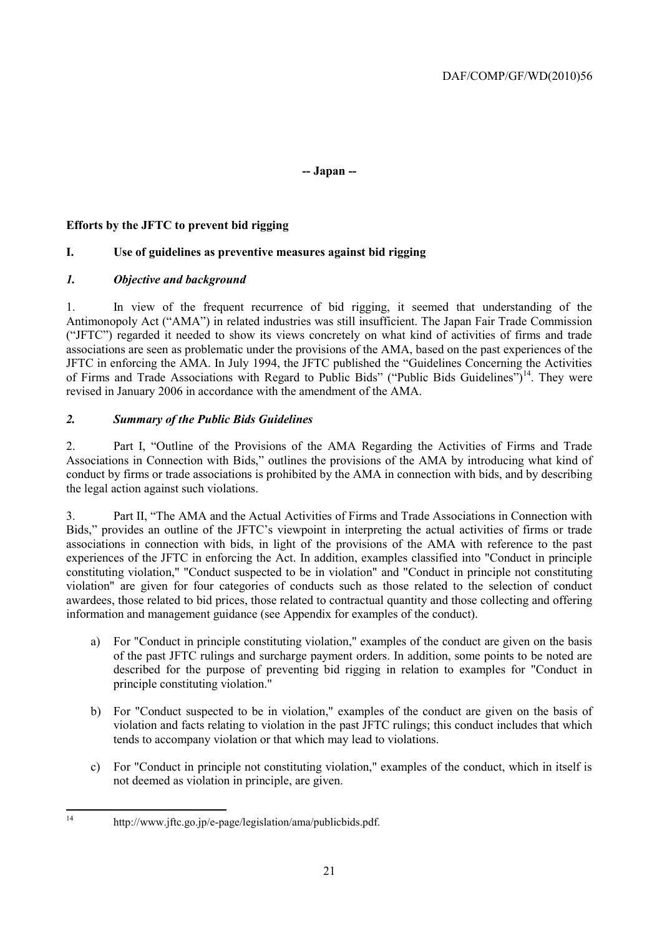#### **-- Japan --**

#### **Efforts by the JFTC to prevent bid rigging**

#### **I. Use of guidelines as preventive measures against bid rigging**

#### *1. Objective and background*

1. In view of the frequent recurrence of bid rigging, it seemed that understanding of the Antimonopoly Act ("AMA") in related industries was still insufficient. The Japan Fair Trade Commission ("JFTC") regarded it needed to show its views concretely on what kind of activities of firms and trade associations are seen as problematic under the provisions of the AMA, based on the past experiences of the JFTC in enforcing the AMA. In July 1994, the JFTC published the "Guidelines Concerning the Activities of Firms and Trade Associations with Regard to Public Bids" ("Public Bids Guidelines")<sup>14</sup>. They were revised in January 2006 in accordance with the amendment of the AMA.

#### *2. Summary of the Public Bids Guidelines*

2. Part I, "Outline of the Provisions of the AMA Regarding the Activities of Firms and Trade Associations in Connection with Bids," outlines the provisions of the AMA by introducing what kind of conduct by firms or trade associations is prohibited by the AMA in connection with bids, and by describing the legal action against such violations.

3. Part II, "The AMA and the Actual Activities of Firms and Trade Associations in Connection with Bids," provides an outline of the JFTC's viewpoint in interpreting the actual activities of firms or trade associations in connection with bids, in light of the provisions of the AMA with reference to the past experiences of the JFTC in enforcing the Act. In addition, examples classified into "Conduct in principle constituting violation," "Conduct suspected to be in violation" and "Conduct in principle not constituting violation" are given for four categories of conducts such as those related to the selection of conduct awardees, those related to bid prices, those related to contractual quantity and those collecting and offering information and management guidance (see Appendix for examples of the conduct).

- a) For "Conduct in principle constituting violation," examples of the conduct are given on the basis of the past JFTC rulings and surcharge payment orders. In addition, some points to be noted are described for the purpose of preventing bid rigging in relation to examples for "Conduct in principle constituting violation."
- b) For "Conduct suspected to be in violation," examples of the conduct are given on the basis of violation and facts relating to violation in the past JFTC rulings; this conduct includes that which tends to accompany violation or that which may lead to violations.
- c) For "Conduct in principle not constituting violation," examples of the conduct, which in itself is not deemed as violation in principle, are given.

 $14$ 

http://www.jftc.go.jp/e-page/legislation/ama/publicbids.pdf.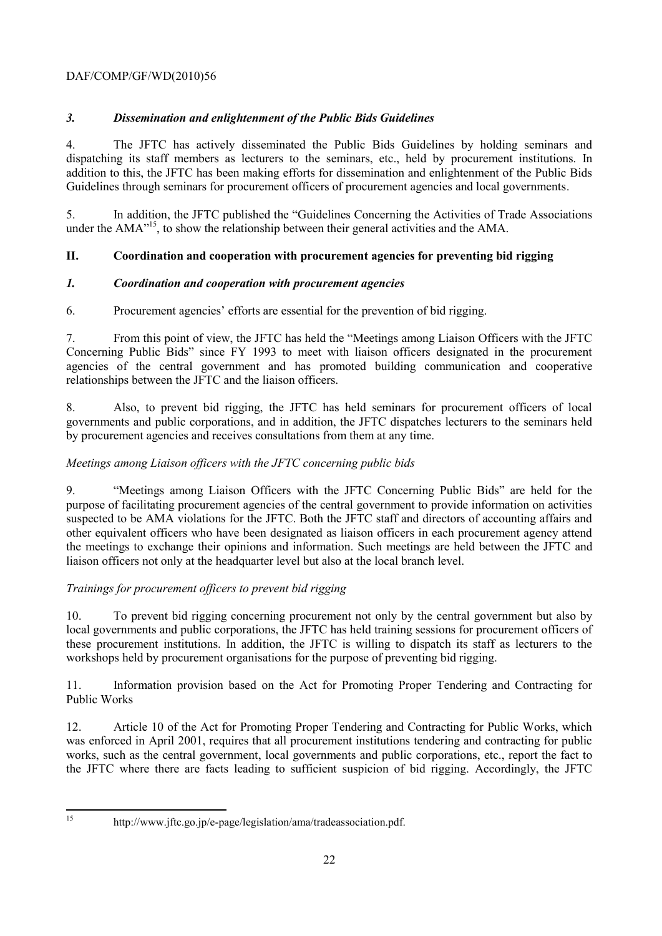#### *3. Dissemination and enlightenment of the Public Bids Guidelines*

4. The JFTC has actively disseminated the Public Bids Guidelines by holding seminars and dispatching its staff members as lecturers to the seminars, etc., held by procurement institutions. In addition to this, the JFTC has been making efforts for dissemination and enlightenment of the Public Bids Guidelines through seminars for procurement officers of procurement agencies and local governments.

5. In addition, the JFTC published the "Guidelines Concerning the Activities of Trade Associations under the AMA<sup>"15</sup>, to show the relationship between their general activities and the AMA.

#### **II. Coordination and cooperation with procurement agencies for preventing bid rigging**

#### *1. Coordination and cooperation with procurement agencies*

#### 6. Procurement agencies' efforts are essential for the prevention of bid rigging.

7. From this point of view, the JFTC has held the "Meetings among Liaison Officers with the JFTC Concerning Public Bids" since FY 1993 to meet with liaison officers designated in the procurement agencies of the central government and has promoted building communication and cooperative relationships between the JFTC and the liaison officers.

8. Also, to prevent bid rigging, the JFTC has held seminars for procurement officers of local governments and public corporations, and in addition, the JFTC dispatches lecturers to the seminars held by procurement agencies and receives consultations from them at any time.

#### *Meetings among Liaison officers with the JFTC concerning public bids*

9. "Meetings among Liaison Officers with the JFTC Concerning Public Bids" are held for the purpose of facilitating procurement agencies of the central government to provide information on activities suspected to be AMA violations for the JFTC. Both the JFTC staff and directors of accounting affairs and other equivalent officers who have been designated as liaison officers in each procurement agency attend the meetings to exchange their opinions and information. Such meetings are held between the JFTC and liaison officers not only at the headquarter level but also at the local branch level.

#### *Trainings for procurement officers to prevent bid rigging*

10. To prevent bid rigging concerning procurement not only by the central government but also by local governments and public corporations, the JFTC has held training sessions for procurement officers of these procurement institutions. In addition, the JFTC is willing to dispatch its staff as lecturers to the workshops held by procurement organisations for the purpose of preventing bid rigging.

11. Information provision based on the Act for Promoting Proper Tendering and Contracting for Public Works

12. Article 10 of the Act for Promoting Proper Tendering and Contracting for Public Works, which was enforced in April 2001, requires that all procurement institutions tendering and contracting for public works, such as the central government, local governments and public corporations, etc., report the fact to the JFTC where there are facts leading to sufficient suspicion of bid rigging. Accordingly, the JFTC

 $15$ 

http://www.jftc.go.jp/e-page/legislation/ama/tradeassociation.pdf.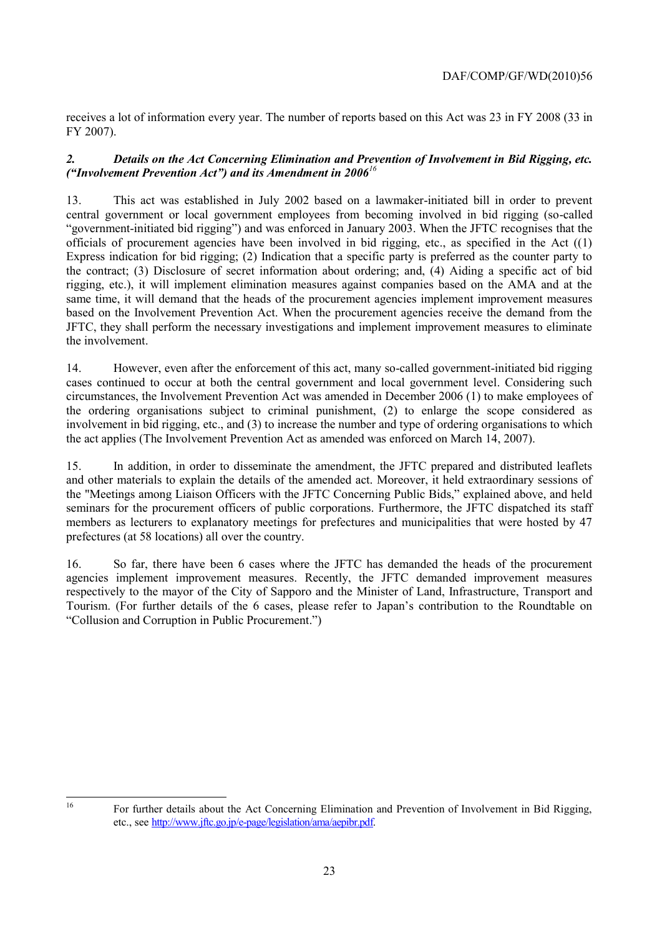receives a lot of information every year. The number of reports based on this Act was 23 in FY 2008 (33 in FY 2007).

#### *2. Details on the Act Concerning Elimination and Prevention of Involvement in Bid Rigging, etc. ("Involvement Prevention Act") and its Amendment in 2006<sup>16</sup>*

13. This act was established in July 2002 based on a lawmaker-initiated bill in order to prevent central government or local government employees from becoming involved in bid rigging (so-called "government-initiated bid rigging") and was enforced in January 2003. When the JFTC recognises that the officials of procurement agencies have been involved in bid rigging, etc., as specified in the Act ((1) Express indication for bid rigging; (2) Indication that a specific party is preferred as the counter party to the contract; (3) Disclosure of secret information about ordering; and, (4) Aiding a specific act of bid rigging, etc.), it will implement elimination measures against companies based on the AMA and at the same time, it will demand that the heads of the procurement agencies implement improvement measures based on the Involvement Prevention Act. When the procurement agencies receive the demand from the JFTC, they shall perform the necessary investigations and implement improvement measures to eliminate the involvement.

14. However, even after the enforcement of this act, many so-called government-initiated bid rigging cases continued to occur at both the central government and local government level. Considering such circumstances, the Involvement Prevention Act was amended in December 2006 (1) to make employees of the ordering organisations subject to criminal punishment, (2) to enlarge the scope considered as involvement in bid rigging, etc., and (3) to increase the number and type of ordering organisations to which the act applies (The Involvement Prevention Act as amended was enforced on March 14, 2007).

15. In addition, in order to disseminate the amendment, the JFTC prepared and distributed leaflets and other materials to explain the details of the amended act. Moreover, it held extraordinary sessions of the "Meetings among Liaison Officers with the JFTC Concerning Public Bids," explained above, and held seminars for the procurement officers of public corporations. Furthermore, the JFTC dispatched its staff members as lecturers to explanatory meetings for prefectures and municipalities that were hosted by 47 prefectures (at 58 locations) all over the country.

16. So far, there have been 6 cases where the JFTC has demanded the heads of the procurement agencies implement improvement measures. Recently, the JFTC demanded improvement measures respectively to the mayor of the City of Sapporo and the Minister of Land, Infrastructure, Transport and Tourism. (For further details of the 6 cases, please refer to Japan's contribution to the Roundtable on "Collusion and Corruption in Public Procurement.")

 $16$ 

<sup>16</sup> For further details about the Act Concerning Elimination and Prevention of Involvement in Bid Rigging, etc., see [http://www.jftc.go.jp/e-page/legislation/ama/aepibr.pdf.](http://www.jftc.go.jp/e-page/legislation/ama/aepibr.pdf)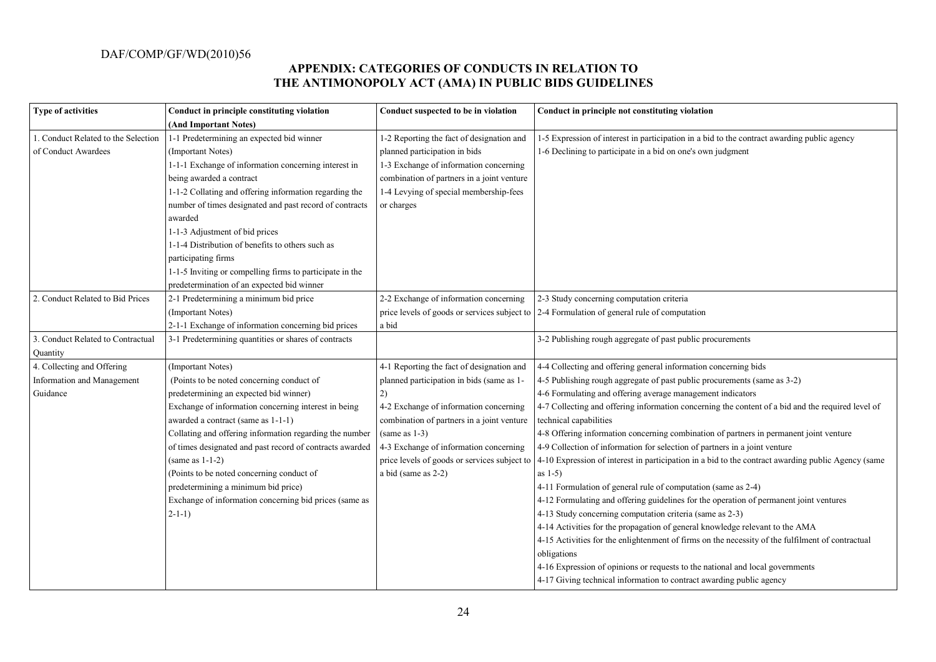#### **APPENDIX: CATEGORIES OF CONDUCTS IN RELATION TO THE ANTIMONOPOLY ACT (AMA) IN PUBLIC BIDS GUIDELINES**

| <b>Type of activities</b>           | Conduct in principle constituting violation              | Conduct suspected to be in violation         | Conduct in principle not constituting violation                                                     |
|-------------------------------------|----------------------------------------------------------|----------------------------------------------|-----------------------------------------------------------------------------------------------------|
|                                     | (And Important Notes)                                    |                                              |                                                                                                     |
| 1. Conduct Related to the Selection | 1-1 Predetermining an expected bid winner                | 1-2 Reporting the fact of designation and    | 1-5 Expression of interest in participation in a bid to the contract awarding public agency         |
| of Conduct Awardees                 | (Important Notes)                                        | planned participation in bids                | 1-6 Declining to participate in a bid on one's own judgment                                         |
|                                     | 1-1-1 Exchange of information concerning interest in     | 1-3 Exchange of information concerning       |                                                                                                     |
|                                     | being awarded a contract                                 | combination of partners in a joint venture   |                                                                                                     |
|                                     | 1-1-2 Collating and offering information regarding the   | 1-4 Levying of special membership-fees       |                                                                                                     |
|                                     | number of times designated and past record of contracts  | or charges                                   |                                                                                                     |
|                                     | awarded                                                  |                                              |                                                                                                     |
|                                     | 1-1-3 Adjustment of bid prices                           |                                              |                                                                                                     |
|                                     | 1-1-4 Distribution of benefits to others such as         |                                              |                                                                                                     |
|                                     | participating firms                                      |                                              |                                                                                                     |
|                                     | 1-1-5 Inviting or compelling firms to participate in the |                                              |                                                                                                     |
|                                     | predetermination of an expected bid winner               |                                              |                                                                                                     |
| 2. Conduct Related to Bid Prices    | 2-1 Predetermining a minimum bid price                   | 2-2 Exchange of information concerning       | 2-3 Study concerning computation criteria                                                           |
|                                     | (Important Notes)                                        |                                              | price levels of goods or services subject to $\vert$ 2-4 Formulation of general rule of computation |
|                                     | 2-1-1 Exchange of information concerning bid prices      | a bid                                        |                                                                                                     |
| 3. Conduct Related to Contractual   | 3-1 Predetermining quantities or shares of contracts     |                                              | 3-2 Publishing rough aggregate of past public procurements                                          |
| Quantity                            |                                                          |                                              |                                                                                                     |
| 4. Collecting and Offering          | (Important Notes)                                        | 4-1 Reporting the fact of designation and    | 4-4 Collecting and offering general information concerning bids                                     |
| Information and Management          | (Points to be noted concerning conduct of                | planned participation in bids (same as 1-    | 4-5 Publishing rough aggregate of past public procurements (same as 3-2)                            |
| Guidance                            | predetermining an expected bid winner)                   | 2)                                           | 4-6 Formulating and offering average management indicators                                          |
|                                     | Exchange of information concerning interest in being     | 4-2 Exchange of information concerning       | 4-7 Collecting and offering information concerning the content of a bid and the required level of   |
|                                     | awarded a contract (same as 1-1-1)                       | combination of partners in a joint venture   | technical capabilities                                                                              |
|                                     | Collating and offering information regarding the number  | $(same as 1-3)$                              | 4-8 Offering information concerning combination of partners in permanent joint venture              |
|                                     | of times designated and past record of contracts awarded | 4-3 Exchange of information concerning       | 4-9 Collection of information for selection of partners in a joint venture                          |
|                                     | $(same as 1-1-2)$                                        | price levels of goods or services subject to | 4-10 Expression of interest in participation in a bid to the contract awarding public Agency (same  |
|                                     | (Points to be noted concerning conduct of                | a bid (same as 2-2)                          | as $1-5$ )                                                                                          |
|                                     | predetermining a minimum bid price)                      |                                              | 4-11 Formulation of general rule of computation (same as 2-4)                                       |
|                                     | Exchange of information concerning bid prices (same as   |                                              | 4-12 Formulating and offering guidelines for the operation of permanent joint ventures              |
|                                     | $2-1-1)$                                                 |                                              | 4-13 Study concerning computation criteria (same as 2-3)                                            |
|                                     |                                                          |                                              | 4-14 Activities for the propagation of general knowledge relevant to the AMA                        |
|                                     |                                                          |                                              | 4-15 Activities for the enlightenment of firms on the necessity of the fulfilment of contractual    |
|                                     |                                                          |                                              | obligations                                                                                         |
|                                     |                                                          |                                              | 4-16 Expression of opinions or requests to the national and local governments                       |
|                                     |                                                          |                                              | 4-17 Giving technical information to contract awarding public agency                                |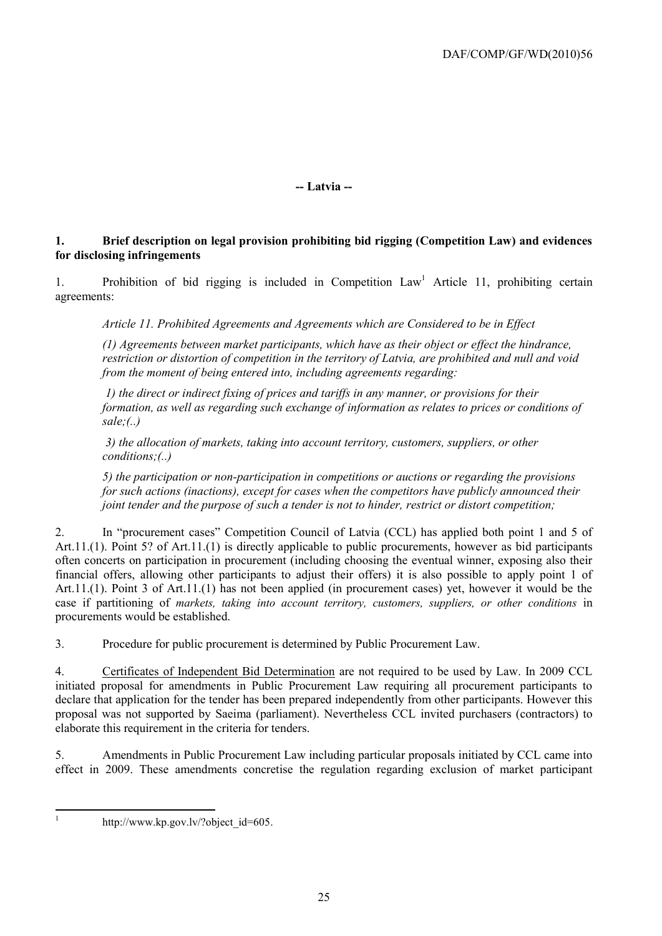**-- Latvia --**

#### **1. Brief description on legal provision prohibiting bid rigging (Competition Law) and evidences for disclosing infringements**

1. Prohibition of bid rigging is included in Competition  $Law<sup>1</sup>$  Article 11, prohibiting certain agreements:

*Article 11. Prohibited Agreements and Agreements which are Considered to be in Effect*

*(1) Agreements between market participants, which have as their object or effect the hindrance, restriction or distortion of competition in the territory of Latvia, are prohibited and null and void from the moment of being entered into, including agreements regarding:*

*1) the direct or indirect fixing of prices and tariffs in any manner, or provisions for their formation, as well as regarding such exchange of information as relates to prices or conditions of sale;(..)* 

*3) the allocation of markets, taking into account territory, customers, suppliers, or other conditions;(..)*

*5) the participation or non-participation in competitions or auctions or regarding the provisions for such actions (inactions), except for cases when the competitors have publicly announced their joint tender and the purpose of such a tender is not to hinder, restrict or distort competition;*

2. In "procurement cases" Competition Council of Latvia (CCL) has applied both point 1 and 5 of Art.11.(1). Point 5? of Art.11.(1) is directly applicable to public procurements, however as bid participants often concerts on participation in procurement (including choosing the eventual winner, exposing also their financial offers, allowing other participants to adjust their offers) it is also possible to apply point 1 of Art.11.(1). Point 3 of Art.11.(1) has not been applied (in procurement cases) yet, however it would be the case if partitioning of *markets, taking into account territory, customers, suppliers, or other conditions* in procurements would be established.

3. Procedure for public procurement is determined by Public Procurement Law.

4. Certificates of Independent Bid Determination are not required to be used by Law. In 2009 CCL initiated proposal for amendments in Public Procurement Law requiring all procurement participants to declare that application for the tender has been prepared independently from other participants. However this proposal was not supported by Saeima (parliament). Nevertheless CCL invited purchasers (contractors) to elaborate this requirement in the criteria for tenders.

5. Amendments in Public Procurement Law including particular proposals initiated by CCL came into effect in 2009. These amendments concretise the regulation regarding exclusion of market participant

 $\frac{1}{1}$ 

[http://www.kp.gov.lv/?object\\_id=605.](http://www.kp.gov.lv/?object_id=605)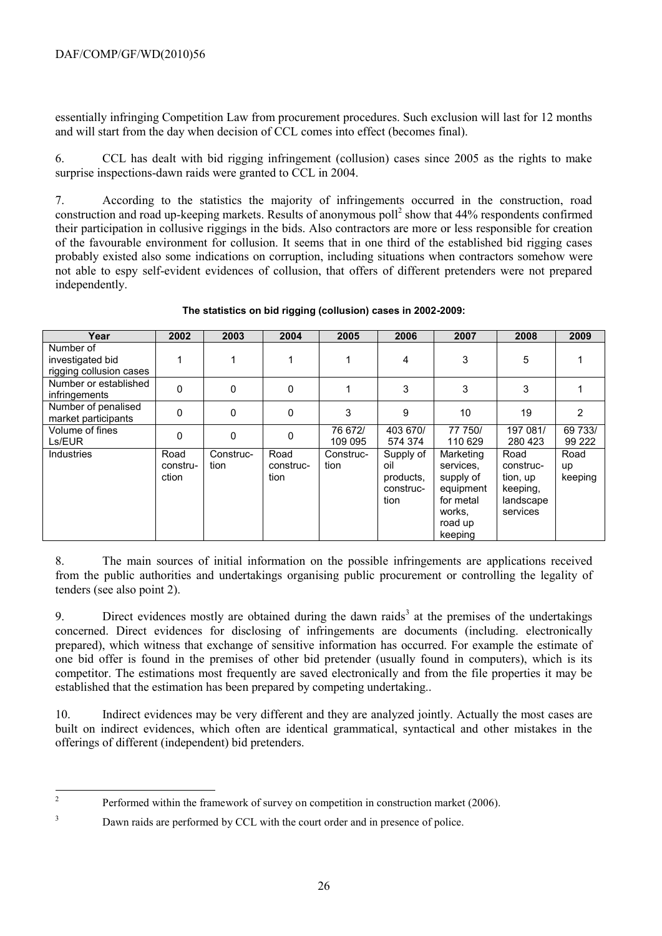essentially infringing Competition Law from procurement procedures. Such exclusion will last for 12 months and will start from the day when decision of CCL comes into effect (becomes final).

6. CCL has dealt with bid rigging infringement (collusion) cases since 2005 as the rights to make surprise inspections-dawn raids were granted to CCL in 2004.

7. According to the statistics the majority of infringements occurred in the construction, road construction and road up-keeping markets. Results of anonymous poll<sup>2</sup> show that 44% respondents confirmed their participation in collusive riggings in the bids. Also contractors are more or less responsible for creation of the favourable environment for collusion. It seems that in one third of the established bid rigging cases probably existed also some indications on corruption, including situations when contractors somehow were not able to espy self-evident evidences of collusion, that offers of different pretenders were not prepared independently.

| Year                                                     | 2002                      | 2003              | 2004                      | 2005               | 2006                                               | 2007                                                                                          | 2008                                                               | 2009                  |
|----------------------------------------------------------|---------------------------|-------------------|---------------------------|--------------------|----------------------------------------------------|-----------------------------------------------------------------------------------------------|--------------------------------------------------------------------|-----------------------|
| Number of<br>investigated bid<br>rigging collusion cases | 1                         |                   |                           |                    | 4                                                  | 3                                                                                             | 5                                                                  |                       |
| Number or established<br>infringements                   | $\mathbf{0}$              | 0                 | 0                         |                    | 3                                                  | 3                                                                                             | 3                                                                  |                       |
| Number of penalised<br>market participants               | 0                         | 0                 | 0                         | 3                  | 9                                                  | 10                                                                                            | 19                                                                 | 2                     |
| Volume of fines<br>Ls/EUR                                | 0                         | 0                 | 0                         | 76 672/<br>109 095 | 403 670/<br>574 374                                | 77 750/<br>110 629                                                                            | 197 081/<br>280 423                                                | 69 733/<br>99 222     |
| <b>Industries</b>                                        | Road<br>constru-<br>ction | Construc-<br>tion | Road<br>construc-<br>tion | Construc-<br>tion  | Supply of<br>oil<br>products,<br>construc-<br>tion | Marketing<br>services.<br>supply of<br>equipment<br>for metal<br>works.<br>road up<br>keeping | Road<br>construc-<br>tion, up<br>keeping,<br>landscape<br>services | Road<br>up<br>keeping |

#### **The statistics on bid rigging (collusion) cases in 2002-2009:**

8. The main sources of initial information on the possible infringements are applications received from the public authorities and undertakings organising public procurement or controlling the legality of tenders (see also point 2).

9. Direct evidences mostly are obtained during the dawn raids<sup>3</sup> at the premises of the undertakings concerned. Direct evidences for disclosing of infringements are documents (including. electronically prepared), which witness that exchange of sensitive information has occurred. For example the estimate of one bid offer is found in the premises of other bid pretender (usually found in computers), which is its competitor. The estimations most frequently are saved electronically and from the file properties it may be established that the estimation has been prepared by competing undertaking..

10. Indirect evidences may be very different and they are analyzed jointly. Actually the most cases are built on indirect evidences, which often are identical grammatical, syntactical and other mistakes in the offerings of different (independent) bid pretenders.

 $\frac{1}{2}$ Performed within the framework of survey on competition in construction market (2006).

<sup>&</sup>lt;sup>3</sup> Dawn raids are performed by CCL with the court order and in presence of police.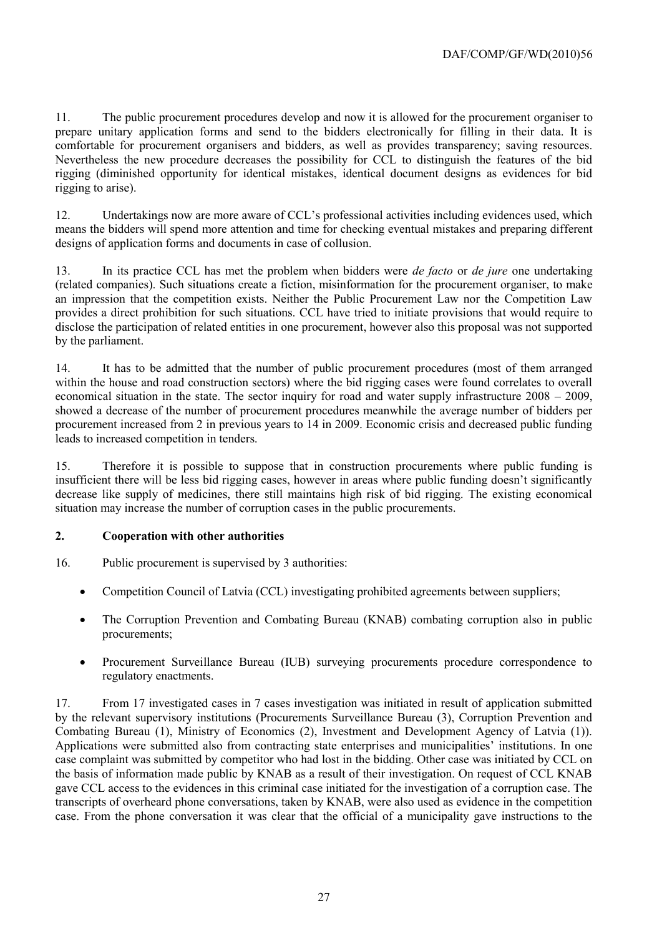11. The public procurement procedures develop and now it is allowed for the procurement organiser to prepare unitary application forms and send to the bidders electronically for filling in their data. It is comfortable for procurement organisers and bidders, as well as provides transparency; saving resources. Nevertheless the new procedure decreases the possibility for CCL to distinguish the features of the bid rigging (diminished opportunity for identical mistakes, identical document designs as evidences for bid rigging to arise).

12. Undertakings now are more aware of CCL's professional activities including evidences used, which means the bidders will spend more attention and time for checking eventual mistakes and preparing different designs of application forms and documents in case of collusion.

13. In its practice CCL has met the problem when bidders were *de facto* or *de jure* one undertaking (related companies). Such situations create a fiction, misinformation for the procurement organiser, to make an impression that the competition exists. Neither the Public Procurement Law nor the Competition Law provides a direct prohibition for such situations. CCL have tried to initiate provisions that would require to disclose the participation of related entities in one procurement, however also this proposal was not supported by the parliament.

14. It has to be admitted that the number of public procurement procedures (most of them arranged within the house and road construction sectors) where the bid rigging cases were found correlates to overall economical situation in the state. The sector inquiry for road and water supply infrastructure 2008 – 2009, showed a decrease of the number of procurement procedures meanwhile the average number of bidders per procurement increased from 2 in previous years to 14 in 2009. Economic crisis and decreased public funding leads to increased competition in tenders.

15. Therefore it is possible to suppose that in construction procurements where public funding is insufficient there will be less bid rigging cases, however in areas where public funding doesn't significantly decrease like supply of medicines, there still maintains high risk of bid rigging. The existing economical situation may increase the number of corruption cases in the public procurements.

#### **2. Cooperation with other authorities**

16. Public procurement is supervised by 3 authorities:

- Competition Council of Latvia (CCL) investigating prohibited agreements between suppliers;
- The Corruption Prevention and Combating Bureau (KNAB) combating corruption also in public procurements;
- Procurement Surveillance Bureau (IUB) surveying procurements procedure correspondence to regulatory enactments.

17. From 17 investigated cases in 7 cases investigation was initiated in result of application submitted by the relevant supervisory institutions (Procurements Surveillance Bureau (3), Corruption Prevention and Combating Bureau (1), Ministry of Economics (2), Investment and Development Agency of Latvia (1)). Applications were submitted also from contracting state enterprises and municipalities' institutions. In one case complaint was submitted by competitor who had lost in the bidding. Other case was initiated by CCL on the basis of information made public by KNAB as a result of their investigation. On request of CCL KNAB gave CCL access to the evidences in this criminal case initiated for the investigation of a corruption case. The transcripts of overheard phone conversations, taken by KNAB, were also used as evidence in the competition case. From the phone conversation it was clear that the official of a municipality gave instructions to the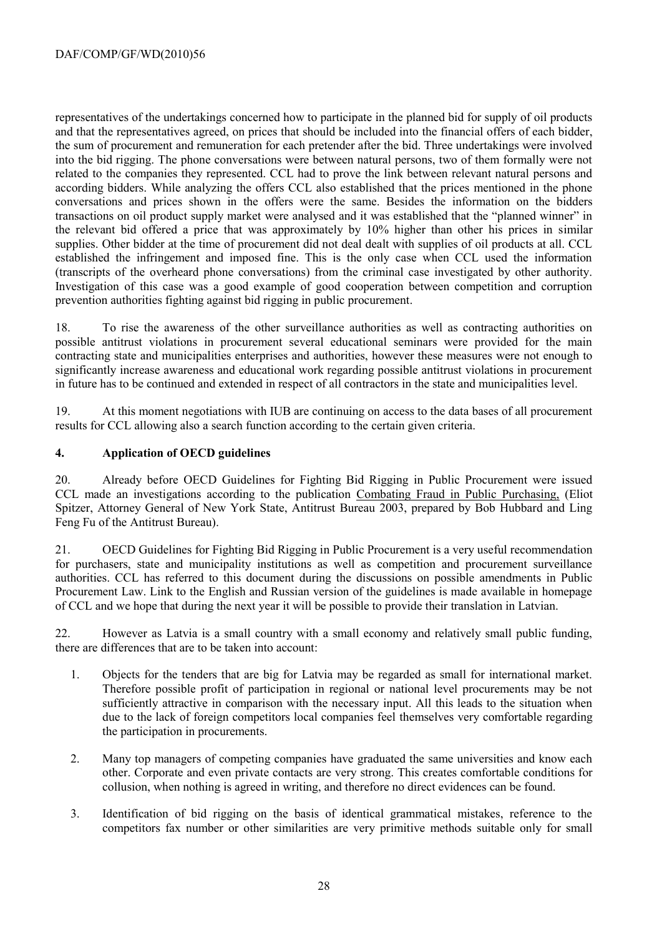representatives of the undertakings concerned how to participate in the planned bid for supply of oil products and that the representatives agreed, on prices that should be included into the financial offers of each bidder, the sum of procurement and remuneration for each pretender after the bid. Three undertakings were involved into the bid rigging. The phone conversations were between natural persons, two of them formally were not related to the companies they represented. CCL had to prove the link between relevant natural persons and according bidders. While analyzing the offers CCL also established that the prices mentioned in the phone conversations and prices shown in the offers were the same. Besides the information on the bidders transactions on oil product supply market were analysed and it was established that the "planned winner" in the relevant bid offered a price that was approximately by 10% higher than other his prices in similar supplies. Other bidder at the time of procurement did not deal dealt with supplies of oil products at all. CCL established the infringement and imposed fine. This is the only case when CCL used the information (transcripts of the overheard phone conversations) from the criminal case investigated by other authority. Investigation of this case was a good example of good cooperation between competition and corruption prevention authorities fighting against bid rigging in public procurement.

18. To rise the awareness of the other surveillance authorities as well as contracting authorities on possible antitrust violations in procurement several educational seminars were provided for the main contracting state and municipalities enterprises and authorities, however these measures were not enough to significantly increase awareness and educational work regarding possible antitrust violations in procurement in future has to be continued and extended in respect of all contractors in the state and municipalities level.

19. At this moment negotiations with IUB are continuing on access to the data bases of all procurement results for CCL allowing also a search function according to the certain given criteria.

#### **4. Application of OECD guidelines**

20. Already before OECD Guidelines for Fighting Bid Rigging in Public Procurement were issued CCL made an investigations according to the publication Combating Fraud in Public Purchasing, (Eliot Spitzer, Attorney General of New York State, Antitrust Bureau 2003, prepared by Bob Hubbard and Ling Feng Fu of the Antitrust Bureau).

21. OECD Guidelines for Fighting Bid Rigging in Public Procurement is a very useful recommendation for purchasers, state and municipality institutions as well as competition and procurement surveillance authorities. CCL has referred to this document during the discussions on possible amendments in Public Procurement Law. Link to the English and Russian version of the guidelines is made available in homepage of CCL and we hope that during the next year it will be possible to provide their translation in Latvian.

22. However as Latvia is a small country with a small economy and relatively small public funding, there are differences that are to be taken into account:

- 1. Objects for the tenders that are big for Latvia may be regarded as small for international market. Therefore possible profit of participation in regional or national level procurements may be not sufficiently attractive in comparison with the necessary input. All this leads to the situation when due to the lack of foreign competitors local companies feel themselves very comfortable regarding the participation in procurements.
- 2. Many top managers of competing companies have graduated the same universities and know each other. Corporate and even private contacts are very strong. This creates comfortable conditions for collusion, when nothing is agreed in writing, and therefore no direct evidences can be found.
- 3. Identification of bid rigging on the basis of identical grammatical mistakes, reference to the competitors fax number or other similarities are very primitive methods suitable only for small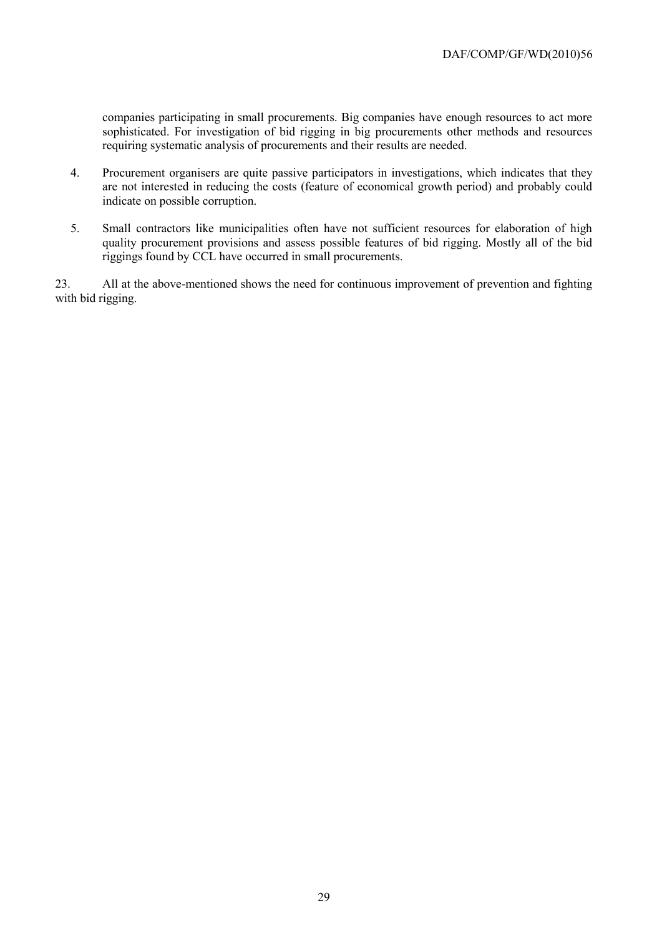companies participating in small procurements. Big companies have enough resources to act more sophisticated. For investigation of bid rigging in big procurements other methods and resources requiring systematic analysis of procurements and their results are needed.

- 4. Procurement organisers are quite passive participators in investigations, which indicates that they are not interested in reducing the costs (feature of economical growth period) and probably could indicate on possible corruption.
- 5. Small contractors like municipalities often have not sufficient resources for elaboration of high quality procurement provisions and assess possible features of bid rigging. Mostly all of the bid riggings found by CCL have occurred in small procurements.

23. All at the above-mentioned shows the need for continuous improvement of prevention and fighting with bid rigging.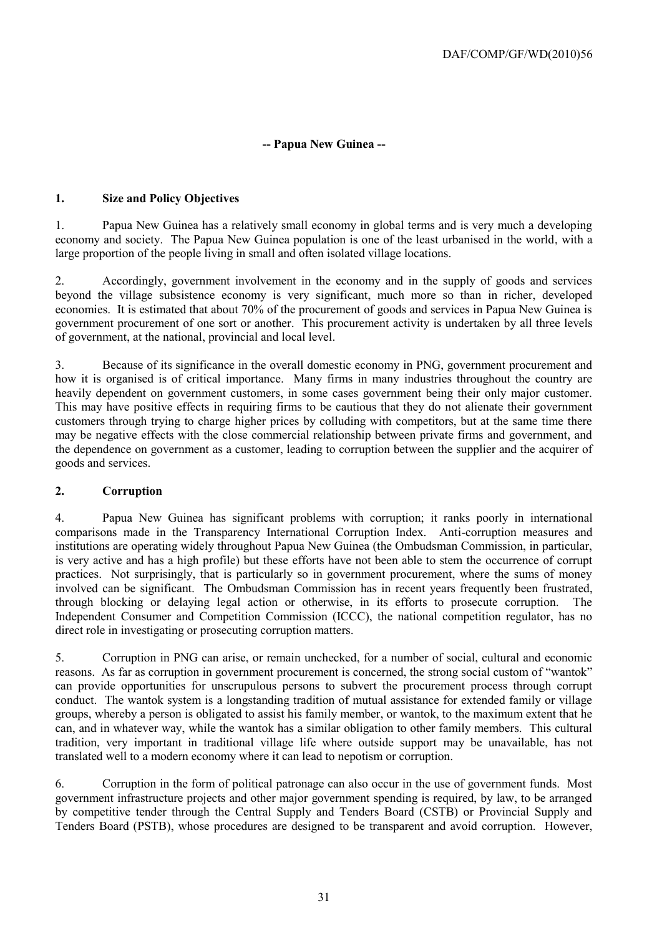#### **-- Papua New Guinea --**

#### **1. Size and Policy Objectives**

1. Papua New Guinea has a relatively small economy in global terms and is very much a developing economy and society. The Papua New Guinea population is one of the least urbanised in the world, with a large proportion of the people living in small and often isolated village locations.

2. Accordingly, government involvement in the economy and in the supply of goods and services beyond the village subsistence economy is very significant, much more so than in richer, developed economies. It is estimated that about 70% of the procurement of goods and services in Papua New Guinea is government procurement of one sort or another. This procurement activity is undertaken by all three levels of government, at the national, provincial and local level.

3. Because of its significance in the overall domestic economy in PNG, government procurement and how it is organised is of critical importance. Many firms in many industries throughout the country are heavily dependent on government customers, in some cases government being their only major customer. This may have positive effects in requiring firms to be cautious that they do not alienate their government customers through trying to charge higher prices by colluding with competitors, but at the same time there may be negative effects with the close commercial relationship between private firms and government, and the dependence on government as a customer, leading to corruption between the supplier and the acquirer of goods and services.

#### **2. Corruption**

4. Papua New Guinea has significant problems with corruption; it ranks poorly in international comparisons made in the Transparency International Corruption Index. Anti-corruption measures and institutions are operating widely throughout Papua New Guinea (the Ombudsman Commission, in particular, is very active and has a high profile) but these efforts have not been able to stem the occurrence of corrupt practices. Not surprisingly, that is particularly so in government procurement, where the sums of money involved can be significant. The Ombudsman Commission has in recent years frequently been frustrated, through blocking or delaying legal action or otherwise, in its efforts to prosecute corruption. The Independent Consumer and Competition Commission (ICCC), the national competition regulator, has no direct role in investigating or prosecuting corruption matters.

5. Corruption in PNG can arise, or remain unchecked, for a number of social, cultural and economic reasons. As far as corruption in government procurement is concerned, the strong social custom of "wantok" can provide opportunities for unscrupulous persons to subvert the procurement process through corrupt conduct. The wantok system is a longstanding tradition of mutual assistance for extended family or village groups, whereby a person is obligated to assist his family member, or wantok, to the maximum extent that he can, and in whatever way, while the wantok has a similar obligation to other family members. This cultural tradition, very important in traditional village life where outside support may be unavailable, has not translated well to a modern economy where it can lead to nepotism or corruption.

6. Corruption in the form of political patronage can also occur in the use of government funds. Most government infrastructure projects and other major government spending is required, by law, to be arranged by competitive tender through the Central Supply and Tenders Board (CSTB) or Provincial Supply and Tenders Board (PSTB), whose procedures are designed to be transparent and avoid corruption. However,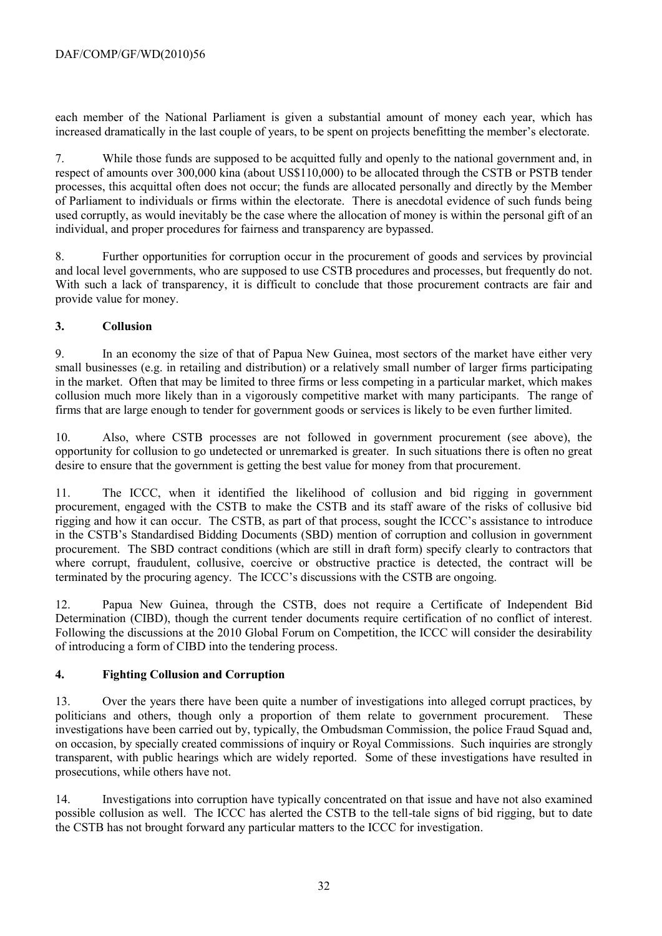each member of the National Parliament is given a substantial amount of money each year, which has increased dramatically in the last couple of years, to be spent on projects benefitting the member's electorate.

7. While those funds are supposed to be acquitted fully and openly to the national government and, in respect of amounts over 300,000 kina (about US\$110,000) to be allocated through the CSTB or PSTB tender processes, this acquittal often does not occur; the funds are allocated personally and directly by the Member of Parliament to individuals or firms within the electorate. There is anecdotal evidence of such funds being used corruptly, as would inevitably be the case where the allocation of money is within the personal gift of an individual, and proper procedures for fairness and transparency are bypassed.

8. Further opportunities for corruption occur in the procurement of goods and services by provincial and local level governments, who are supposed to use CSTB procedures and processes, but frequently do not. With such a lack of transparency, it is difficult to conclude that those procurement contracts are fair and provide value for money.

#### **3. Collusion**

9. In an economy the size of that of Papua New Guinea, most sectors of the market have either very small businesses (e.g. in retailing and distribution) or a relatively small number of larger firms participating in the market. Often that may be limited to three firms or less competing in a particular market, which makes collusion much more likely than in a vigorously competitive market with many participants. The range of firms that are large enough to tender for government goods or services is likely to be even further limited.

10. Also, where CSTB processes are not followed in government procurement (see above), the opportunity for collusion to go undetected or unremarked is greater. In such situations there is often no great desire to ensure that the government is getting the best value for money from that procurement.

11. The ICCC, when it identified the likelihood of collusion and bid rigging in government procurement, engaged with the CSTB to make the CSTB and its staff aware of the risks of collusive bid rigging and how it can occur. The CSTB, as part of that process, sought the ICCC's assistance to introduce in the CSTB's Standardised Bidding Documents (SBD) mention of corruption and collusion in government procurement. The SBD contract conditions (which are still in draft form) specify clearly to contractors that where corrupt, fraudulent, collusive, coercive or obstructive practice is detected, the contract will be terminated by the procuring agency. The ICCC's discussions with the CSTB are ongoing.

12. Papua New Guinea, through the CSTB, does not require a Certificate of Independent Bid Determination (CIBD), though the current tender documents require certification of no conflict of interest. Following the discussions at the 2010 Global Forum on Competition, the ICCC will consider the desirability of introducing a form of CIBD into the tendering process.

#### **4. Fighting Collusion and Corruption**

13. Over the years there have been quite a number of investigations into alleged corrupt practices, by politicians and others, though only a proportion of them relate to government procurement. These investigations have been carried out by, typically, the Ombudsman Commission, the police Fraud Squad and, on occasion, by specially created commissions of inquiry or Royal Commissions. Such inquiries are strongly transparent, with public hearings which are widely reported. Some of these investigations have resulted in prosecutions, while others have not.

14. Investigations into corruption have typically concentrated on that issue and have not also examined possible collusion as well. The ICCC has alerted the CSTB to the tell-tale signs of bid rigging, but to date the CSTB has not brought forward any particular matters to the ICCC for investigation.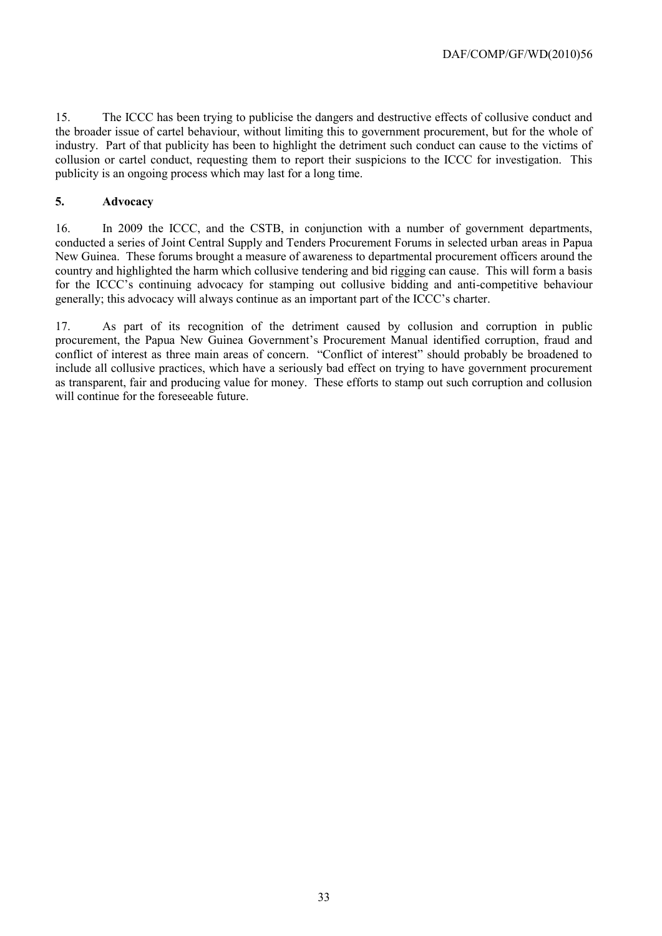15. The ICCC has been trying to publicise the dangers and destructive effects of collusive conduct and the broader issue of cartel behaviour, without limiting this to government procurement, but for the whole of industry. Part of that publicity has been to highlight the detriment such conduct can cause to the victims of collusion or cartel conduct, requesting them to report their suspicions to the ICCC for investigation. This publicity is an ongoing process which may last for a long time.

#### **5. Advocacy**

16. In 2009 the ICCC, and the CSTB, in conjunction with a number of government departments, conducted a series of Joint Central Supply and Tenders Procurement Forums in selected urban areas in Papua New Guinea. These forums brought a measure of awareness to departmental procurement officers around the country and highlighted the harm which collusive tendering and bid rigging can cause. This will form a basis for the ICCC's continuing advocacy for stamping out collusive bidding and anti-competitive behaviour generally; this advocacy will always continue as an important part of the ICCC's charter.

17. As part of its recognition of the detriment caused by collusion and corruption in public procurement, the Papua New Guinea Government's Procurement Manual identified corruption, fraud and conflict of interest as three main areas of concern. "Conflict of interest" should probably be broadened to include all collusive practices, which have a seriously bad effect on trying to have government procurement as transparent, fair and producing value for money. These efforts to stamp out such corruption and collusion will continue for the foreseeable future.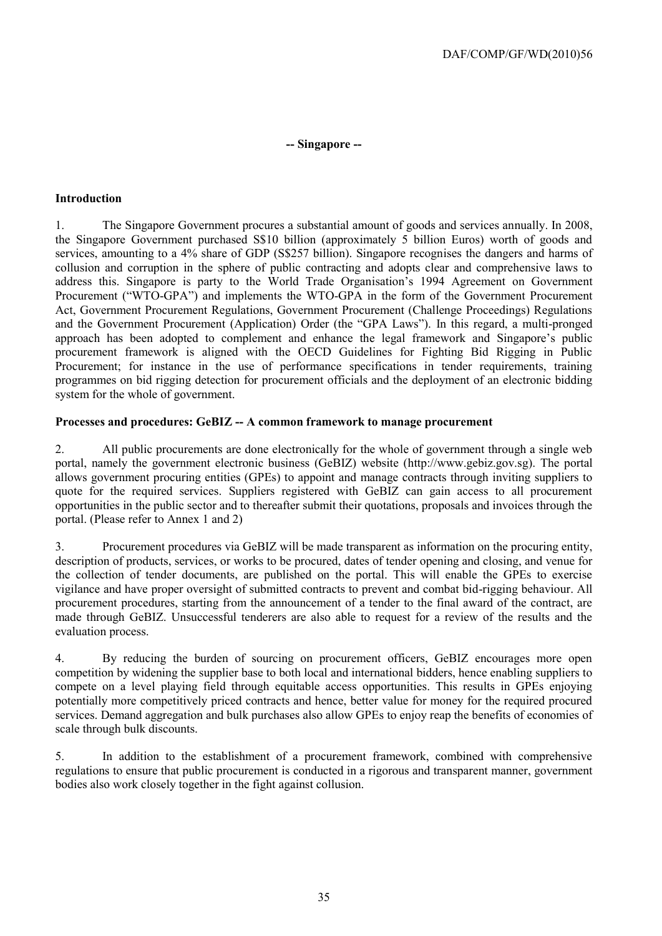#### **-- Singapore --**

#### **Introduction**

1. The Singapore Government procures a substantial amount of goods and services annually. In 2008, the Singapore Government purchased S\$10 billion (approximately 5 billion Euros) worth of goods and services, amounting to a 4% share of GDP (S\$257 billion). Singapore recognises the dangers and harms of collusion and corruption in the sphere of public contracting and adopts clear and comprehensive laws to address this. Singapore is party to the World Trade Organisation's 1994 Agreement on Government Procurement ("WTO-GPA") and implements the WTO-GPA in the form of the Government Procurement Act, Government Procurement Regulations, Government Procurement (Challenge Proceedings) Regulations and the Government Procurement (Application) Order (the "GPA Laws"). In this regard, a multi-pronged approach has been adopted to complement and enhance the legal framework and Singapore's public procurement framework is aligned with the OECD Guidelines for Fighting Bid Rigging in Public Procurement; for instance in the use of performance specifications in tender requirements, training programmes on bid rigging detection for procurement officials and the deployment of an electronic bidding system for the whole of government.

#### **Processes and procedures: GeBIZ -- A common framework to manage procurement**

2. All public procurements are done electronically for the whole of government through a single web portal, namely the government electronic business (GeBIZ) website [\(http://www.gebiz.gov.sg\)](http://www.gebiz.gov.sg/). The portal allows government procuring entities (GPEs) to appoint and manage contracts through inviting suppliers to quote for the required services. Suppliers registered with GeBIZ can gain access to all procurement opportunities in the public sector and to thereafter submit their quotations, proposals and invoices through the portal. (Please refer to Annex 1 and 2)

3. Procurement procedures via GeBIZ will be made transparent as information on the procuring entity, description of products, services, or works to be procured, dates of tender opening and closing, and venue for the collection of tender documents, are published on the portal. This will enable the GPEs to exercise vigilance and have proper oversight of submitted contracts to prevent and combat bid-rigging behaviour. All procurement procedures, starting from the announcement of a tender to the final award of the contract, are made through GeBIZ. Unsuccessful tenderers are also able to request for a review of the results and the evaluation process.

4. By reducing the burden of sourcing on procurement officers, GeBIZ encourages more open competition by widening the supplier base to both local and international bidders, hence enabling suppliers to compete on a level playing field through equitable access opportunities. This results in GPEs enjoying potentially more competitively priced contracts and hence, better value for money for the required procured services. Demand aggregation and bulk purchases also allow GPEs to enjoy reap the benefits of economies of scale through bulk discounts.

5. In addition to the establishment of a procurement framework, combined with comprehensive regulations to ensure that public procurement is conducted in a rigorous and transparent manner, government bodies also work closely together in the fight against collusion.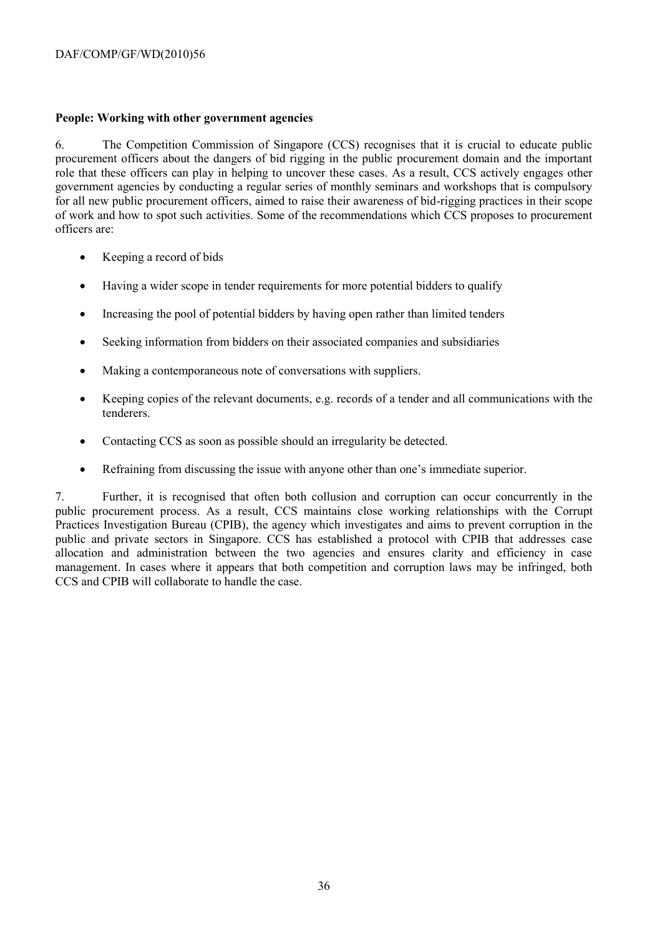#### **People: Working with other government agencies**

6. The Competition Commission of Singapore (CCS) recognises that it is crucial to educate public procurement officers about the dangers of bid rigging in the public procurement domain and the important role that these officers can play in helping to uncover these cases. As a result, CCS actively engages other government agencies by conducting a regular series of monthly seminars and workshops that is compulsory for all new public procurement officers, aimed to raise their awareness of bid-rigging practices in their scope of work and how to spot such activities. Some of the recommendations which CCS proposes to procurement officers are:

- Keeping a record of bids
- Having a wider scope in tender requirements for more potential bidders to qualify
- Increasing the pool of potential bidders by having open rather than limited tenders
- Seeking information from bidders on their associated companies and subsidiaries
- Making a contemporaneous note of conversations with suppliers.
- Keeping copies of the relevant documents, e.g. records of a tender and all communications with the tenderers.
- Contacting CCS as soon as possible should an irregularity be detected.
- Refraining from discussing the issue with anyone other than one's immediate superior.

7. Further, it is recognised that often both collusion and corruption can occur concurrently in the public procurement process. As a result, CCS maintains close working relationships with the Corrupt Practices Investigation Bureau (CPIB), the agency which investigates and aims to prevent corruption in the public and private sectors in Singapore. CCS has established a protocol with CPIB that addresses case allocation and administration between the two agencies and ensures clarity and efficiency in case management. In cases where it appears that both competition and corruption laws may be infringed, both CCS and CPIB will collaborate to handle the case.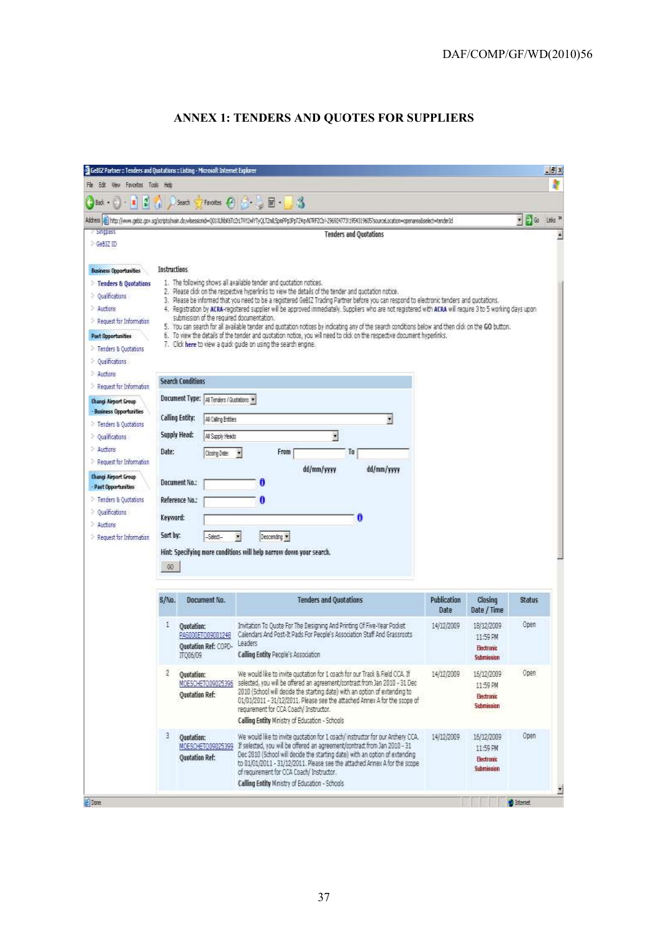### **ANNEX 1: TENDERS AND QUOTES FOR SUPPLIERS**

| File Edit View Favorites Tools Help |                     |                                           |                                                                                                                                                                                                                                                                                                         |             |                          |                                                             | $-11x$ |
|-------------------------------------|---------------------|-------------------------------------------|---------------------------------------------------------------------------------------------------------------------------------------------------------------------------------------------------------------------------------------------------------------------------------------------------------|-------------|--------------------------|-------------------------------------------------------------|--------|
|                                     |                     |                                           |                                                                                                                                                                                                                                                                                                         |             |                          |                                                             |        |
| B<br>×<br>Bad. .                    |                     | Seach                                     | Favortes $\bigcirc$ $\blacksquare$ $\blacksquare$ $\blacksquare$ $\blacksquare$                                                                                                                                                                                                                         |             |                          |                                                             |        |
|                                     |                     |                                           | http://www.gebiz.gov.sq/sorpts/nain.dxyvleesionid=001/LibbK5Tc2rLTVY2vVYTyQLT2nL5pnPPp3PpT24gAV7RF2CbI-29682477313964319605/sourceLacation=openarealselect=tende1d                                                                                                                                      |             |                          | $\bullet$ $\bullet$ $\bullet$ $\bullet$ $\bullet$ $\bullet$ |        |
| Separate                            |                     |                                           | <b>Tenders and Quotations</b>                                                                                                                                                                                                                                                                           |             |                          |                                                             |        |
| GeBIZ ID                            |                     |                                           |                                                                                                                                                                                                                                                                                                         |             |                          |                                                             |        |
|                                     |                     |                                           |                                                                                                                                                                                                                                                                                                         |             |                          |                                                             |        |
| <b>Business Opportunities</b>       | <b>Instructions</b> |                                           |                                                                                                                                                                                                                                                                                                         |             |                          |                                                             |        |
| <b>Tenders &amp; Quotations</b>     |                     |                                           | 1. The following shows all available tender and quotation notices.<br>2. Please click on the respective hyperlinks to view the details of the tender and quotation notice.                                                                                                                              |             |                          |                                                             |        |
| Qualificabass<br>Auctions           |                     |                                           | 3. Please be informed that you need to be a registered GeBIZ Trading Partner before you can respond to electronic tenders and quotations.<br>4. Registration by ACRA-registered supplier will be approved immediately. Suppliers who are not registered with ACRA will require 3 to 5 working days upon |             |                          |                                                             |        |
| Request for Information             |                     | submission of the required documentation. |                                                                                                                                                                                                                                                                                                         |             |                          |                                                             |        |
| Past Opportunities                  |                     |                                           | 5. You can search for all available tender and quotation notices by indicating any of the search conditions below and then click on the GO button.<br>6. To view the details of the tender and quotation notice, you will need to click on the respective document hyperlinks.                          |             |                          |                                                             |        |
| Fenders & Quotabans                 |                     |                                           | 7. Click here to view a quick guide on using the search engine.                                                                                                                                                                                                                                         |             |                          |                                                             |        |
| Qualificabans                       |                     |                                           |                                                                                                                                                                                                                                                                                                         |             |                          |                                                             |        |
| Auctions                            |                     |                                           |                                                                                                                                                                                                                                                                                                         |             |                          |                                                             |        |
| Request for Information             |                     | <b>Search Conditions</b>                  |                                                                                                                                                                                                                                                                                                         |             |                          |                                                             |        |
| <b>Changi Airport Group</b>         |                     | Document Type: At Tenders (Quotetons =    |                                                                                                                                                                                                                                                                                                         |             |                          |                                                             |        |
| - Business Opportunities            |                     | Calling Entity:<br>All Caling Entities    | 회                                                                                                                                                                                                                                                                                                       |             |                          |                                                             |        |
| Tenders & Quotabans                 |                     | Supply Head:                              |                                                                                                                                                                                                                                                                                                         |             |                          |                                                             |        |
| Qualifications<br>Auctors           |                     | All Supply Heads                          | Ξ                                                                                                                                                                                                                                                                                                       |             |                          |                                                             |        |
| Request for Information             | Date:               | Closing Date:                             | From<br>To:                                                                                                                                                                                                                                                                                             |             |                          |                                                             |        |
| <b>Changi Airport Group</b>         |                     |                                           | dd/mm/vyvy<br>dd/mm/yyyy                                                                                                                                                                                                                                                                                |             |                          |                                                             |        |
| - Past Opportunities                |                     | <b>Decument No.:</b>                      | O                                                                                                                                                                                                                                                                                                       |             |                          |                                                             |        |
| Fenders & Quotabans                 |                     | Reference No.:                            | A                                                                                                                                                                                                                                                                                                       |             |                          |                                                             |        |
| Qualifications                      | Keyword:            |                                           | A                                                                                                                                                                                                                                                                                                       |             |                          |                                                             |        |
| Auctions                            |                     |                                           |                                                                                                                                                                                                                                                                                                         |             |                          |                                                             |        |
| Request for Information             | Sort by:            | Select-                                   | Descending v                                                                                                                                                                                                                                                                                            |             |                          |                                                             |        |
|                                     |                     |                                           | Hint: Specifying more conditions will help narrow down your search.                                                                                                                                                                                                                                     |             |                          |                                                             |        |
|                                     | 60                  |                                           |                                                                                                                                                                                                                                                                                                         |             |                          |                                                             |        |
|                                     |                     |                                           |                                                                                                                                                                                                                                                                                                         |             |                          |                                                             |        |
|                                     | S/No.               | Document No.                              | <b>Tenders and Quotations</b>                                                                                                                                                                                                                                                                           | Publication | Clesing                  | Status                                                      |        |
|                                     |                     |                                           |                                                                                                                                                                                                                                                                                                         | <b>Date</b> | Date / Time              |                                                             |        |
|                                     | 1                   | <b>Ouotation:</b>                         | Invitation To Quote For The Designing And Printing Of Five-Year Pocket.                                                                                                                                                                                                                                 | 14/12/2009  | 18/12/2009               | Open                                                        |        |
|                                     |                     | PAS000ET009001248<br>Ouotation Ref: COPD- | Calendars And Post-It Pads For People's Association Staff And Grassroots<br>Leaders                                                                                                                                                                                                                     |             | 11:59 PM                 |                                                             |        |
|                                     |                     | IT006/09                                  | Calling Entity People's Association                                                                                                                                                                                                                                                                     |             | Electronic<br>Submission |                                                             |        |
|                                     | 2                   |                                           | We would like to invite quotation for 1 coach for our Track & Field CCA. If                                                                                                                                                                                                                             | 14/12/2009  |                          | Open                                                        |        |
|                                     |                     | Ouotation:<br>MOESCHETOD9025396           | selected, you will be offered an agreement/contract from Jan 2010 - 31 Dec                                                                                                                                                                                                                              |             | 16/12/2009<br>11:59 PM   |                                                             |        |
|                                     |                     | <b>Ouotation Ref:</b>                     | 2010 (School will decide the starting date) with an option of extending to<br>01/01/2011 - 31/12/2011. Please see the attached Annex A for the scope of                                                                                                                                                 |             | <b>Electronic</b>        |                                                             |        |
|                                     |                     |                                           | requirement for CCA Coach/ Instructor.                                                                                                                                                                                                                                                                  |             | Submission               |                                                             |        |
|                                     |                     |                                           | Calling Entity Ministry of Education - Schools                                                                                                                                                                                                                                                          |             |                          |                                                             |        |
|                                     | з.                  | <b>Ouotation:</b>                         | We would like to invite quotation for 1 coach/instructor for our Archery CCA.                                                                                                                                                                                                                           | 14/12/2009  | 16/12/2009               | Open                                                        |        |
|                                     |                     | MOESCHETO09025399                         | If selected, you will be offered an agreement/contract from Jan 2010 - 31<br>Dec 2010 (School will decide the starting date) with an option of extending                                                                                                                                                |             | 11:59 四                  |                                                             |        |
|                                     |                     | Quotation Ref:                            | to 01/01/2011 - 31/12/2011. Please see the attached Annex A for the scope                                                                                                                                                                                                                               |             | Electronic<br>Submission |                                                             |        |
|                                     |                     |                                           | of requirement for CCA Coach/ Instructor.<br>Calling Entity Ministry of Education - Schools                                                                                                                                                                                                             |             |                          |                                                             |        |
|                                     |                     |                                           |                                                                                                                                                                                                                                                                                                         |             |                          |                                                             |        |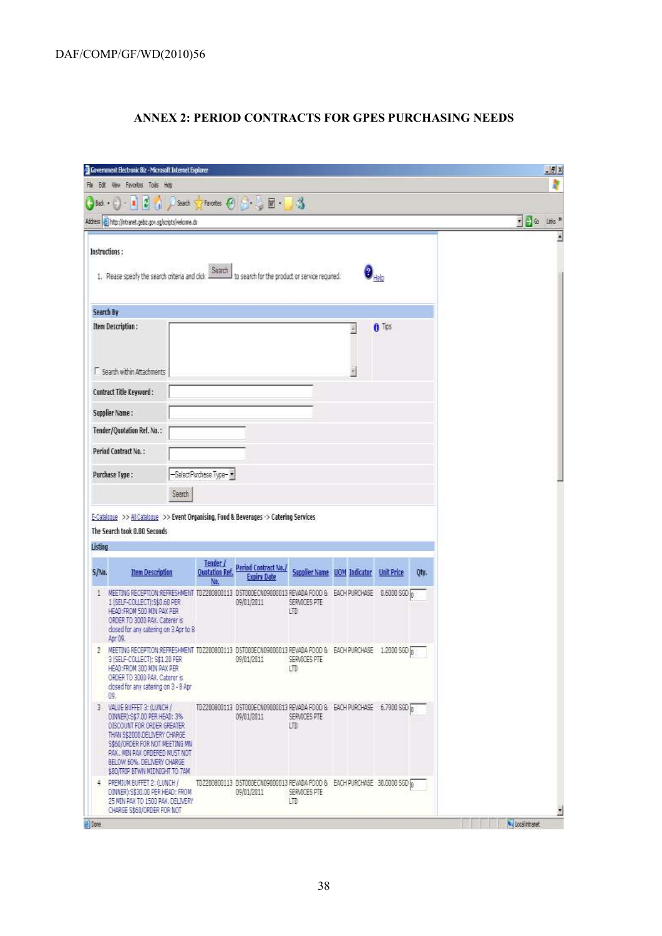### **ANNEX 2: PERIOD CONTRACTS FOR GPES PURCHASING NEEDS**

|                       | Gavenment Electronic Biz - Microsoft Internet Explorer                                                                                                                                                                                                       |                                |                                                  |                     |                             |            |      |                                                                                 | H |
|-----------------------|--------------------------------------------------------------------------------------------------------------------------------------------------------------------------------------------------------------------------------------------------------------|--------------------------------|--------------------------------------------------|---------------------|-----------------------------|------------|------|---------------------------------------------------------------------------------|---|
|                       | File Edit View Favorites Tools Help                                                                                                                                                                                                                          |                                |                                                  |                     |                             |            |      |                                                                                 |   |
| $-3d +$               | $\mathbf{x}$ 3 $\mathbf{A}$ $\mathbf{D}$ seat $\mathbf{D}$ Facetes $\mathbf{C}$ $\mathbf{C}$ $\mathbf{D}$ $\mathbf{D}$ $\mathbf{D}$ $\mathbf{D}$                                                                                                             |                                |                                                  |                     |                             |            |      |                                                                                 |   |
|                       | Address   http://intranet.gebiz.gov.sg/scripts/welcome.do                                                                                                                                                                                                    |                                |                                                  |                     |                             |            |      | $\bullet$ $\bullet$ $\bullet$ $\bullet$ $\bullet$ $\bullet$ $\bullet$ $\bullet$ |   |
| Instructions:         | 1. Please specify the search criteria and click                                                                                                                                                                                                              | Search                         | I to search for the product or service required. |                     |                             |            |      |                                                                                 |   |
| Search By             |                                                                                                                                                                                                                                                              |                                |                                                  |                     |                             |            |      |                                                                                 |   |
|                       | Item Description:                                                                                                                                                                                                                                            |                                |                                                  |                     |                             | n Tps      |      |                                                                                 |   |
|                       | F Search within Attachments                                                                                                                                                                                                                                  |                                |                                                  |                     |                             |            |      |                                                                                 |   |
|                       | Contract Title Keyword:                                                                                                                                                                                                                                      |                                |                                                  |                     |                             |            |      |                                                                                 |   |
| Supplier Name:        |                                                                                                                                                                                                                                                              |                                |                                                  |                     |                             |            |      |                                                                                 |   |
|                       | Tender/Quotation Ref. No.:                                                                                                                                                                                                                                   |                                |                                                  |                     |                             |            |      |                                                                                 |   |
|                       | Period Contract No.:                                                                                                                                                                                                                                         |                                |                                                  |                     |                             |            |      |                                                                                 |   |
| <b>Purchase Type:</b> |                                                                                                                                                                                                                                                              | -Select Purchase Type-         |                                                  |                     |                             |            |      |                                                                                 |   |
|                       | Search                                                                                                                                                                                                                                                       |                                |                                                  |                     |                             |            |      |                                                                                 |   |
| Listing               | E-Catalogue >> <u>All Catalogue</u> >> Event Organising, Food & Beverages -> Catering Services<br>The Search took 0.00 Seconds                                                                                                                               |                                |                                                  |                     |                             |            |      |                                                                                 |   |
|                       | <b>Item Description</b>                                                                                                                                                                                                                                      | Tender<br><b>Quotation Ref</b> | Period Contract No./<br><b>Expire Date</b>       |                     | Supplier Name UOM Indicator | Unit Price | Oty. |                                                                                 |   |
| L                     | NEETING RECEPTION: REFRESHMENT TOZ200800113 DSTOODECN09000013 REVADA FOOD & BACH PURCHASE 0.6000 SGD &<br>1 (SELF-COLLECT): S\$0.60 PER<br>HEAD: FROM 500 MIN PAX PER<br>ORDER TO 3000 PAV. Caterer is<br>closed for any catering on 3 Apr to 8<br>Apr 09.   |                                | 09/01/2011                                       | SERVICES PTE<br>133 |                             |            |      |                                                                                 |   |
| O.                    | 2 NEETING RECEPTION:REFRESHMENT TOZ200800113 DST000ECN09000013 REVADA FOOD & EACH PURCHASE 1.2000 SGD<br>3 (SELF-COLLECT): \$\$1.20 PER<br>HEAD: FROM 300 MIN PAX PER<br>ORDER TO 3000 PAX, Caterer is<br>closed for any catering on 3 - 8 Apr               |                                | 09/01/2011                                       | SERVICES PIE<br>HU  |                             |            |      |                                                                                 |   |
| S/No.                 | 3 VALUE BUFFET 3: (LUNCH)<br>DINNER): S\$7.00 PER HEAD: 3%<br>DISCOUNT FOR ORDER GREATER.<br>THAN S\$2000 DELIVERY CHARGE<br>SISSO/ORDER FOR NOT MEETING MY<br>PAX. MEN PAX ORDERED MUST NOT<br>BELOW 60%, DELIVERY CHARGE<br>\$80/TRIP BTWN NIDNIGHT TO 74M |                                | 09/01/2011                                       | SERVICES PTE<br>LTD |                             |            |      |                                                                                 |   |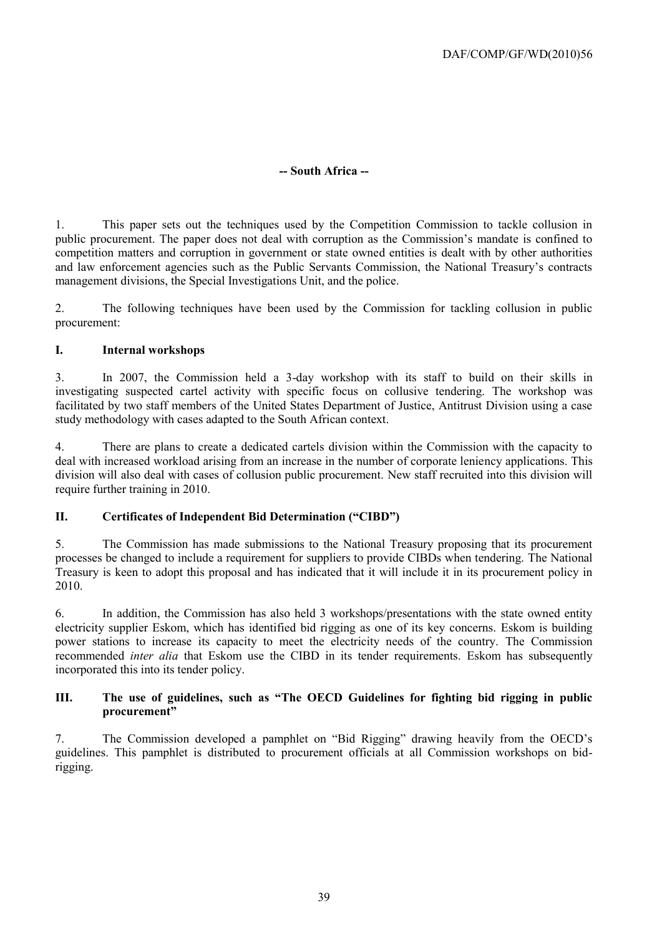#### **-- South Africa --**

1. This paper sets out the techniques used by the Competition Commission to tackle collusion in public procurement. The paper does not deal with corruption as the Commission's mandate is confined to competition matters and corruption in government or state owned entities is dealt with by other authorities and law enforcement agencies such as the Public Servants Commission, the National Treasury's contracts management divisions, the Special Investigations Unit, and the police.

2. The following techniques have been used by the Commission for tackling collusion in public procurement:

#### **I. Internal workshops**

3. In 2007, the Commission held a 3-day workshop with its staff to build on their skills in investigating suspected cartel activity with specific focus on collusive tendering. The workshop was facilitated by two staff members of the United States Department of Justice, Antitrust Division using a case study methodology with cases adapted to the South African context.

4. There are plans to create a dedicated cartels division within the Commission with the capacity to deal with increased workload arising from an increase in the number of corporate leniency applications. This division will also deal with cases of collusion public procurement. New staff recruited into this division will require further training in 2010.

#### **II. Certificates of Independent Bid Determination ("CIBD")**

5. The Commission has made submissions to the National Treasury proposing that its procurement processes be changed to include a requirement for suppliers to provide CIBDs when tendering. The National Treasury is keen to adopt this proposal and has indicated that it will include it in its procurement policy in 2010.

6. In addition, the Commission has also held 3 workshops/presentations with the state owned entity electricity supplier Eskom, which has identified bid rigging as one of its key concerns. Eskom is building power stations to increase its capacity to meet the electricity needs of the country. The Commission recommended *inter alia* that Eskom use the CIBD in its tender requirements. Eskom has subsequently incorporated this into its tender policy.

#### **III. The use of guidelines, such as "The OECD Guidelines for fighting bid rigging in public procurement"**

7. The Commission developed a pamphlet on "Bid Rigging" drawing heavily from the OECD's guidelines. This pamphlet is distributed to procurement officials at all Commission workshops on bidrigging.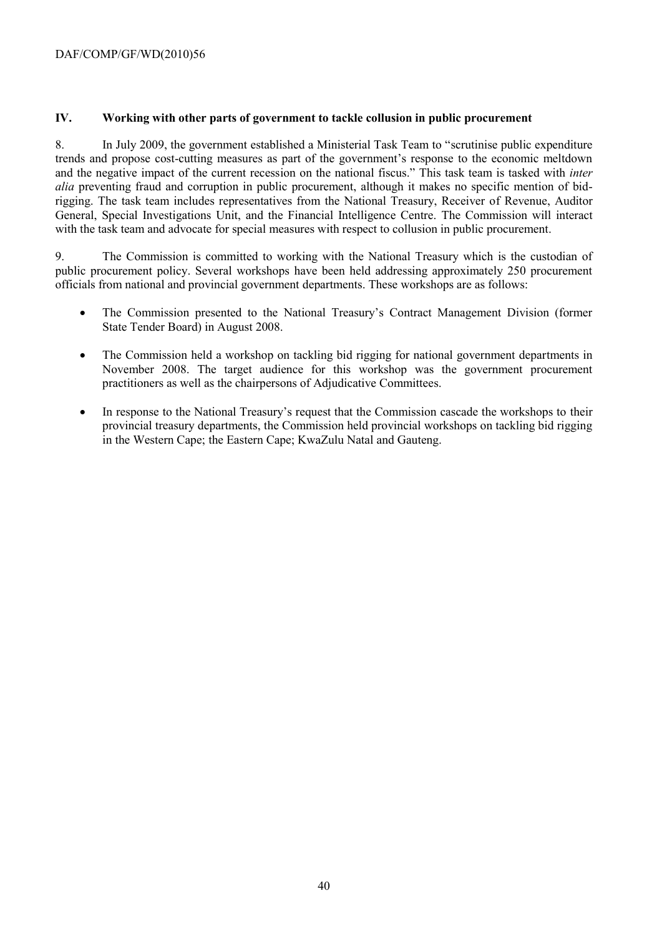#### **IV. Working with other parts of government to tackle collusion in public procurement**

8. In July 2009, the government established a Ministerial Task Team to "scrutinise public expenditure trends and propose cost-cutting measures as part of the government's response to the economic meltdown and the negative impact of the current recession on the national fiscus." This task team is tasked with *inter alia* preventing fraud and corruption in public procurement, although it makes no specific mention of bidrigging. The task team includes representatives from the National Treasury, Receiver of Revenue, Auditor General, Special Investigations Unit, and the Financial Intelligence Centre. The Commission will interact with the task team and advocate for special measures with respect to collusion in public procurement.

9. The Commission is committed to working with the National Treasury which is the custodian of public procurement policy. Several workshops have been held addressing approximately 250 procurement officials from national and provincial government departments. These workshops are as follows:

- The Commission presented to the National Treasury's Contract Management Division (former State Tender Board) in August 2008.
- The Commission held a workshop on tackling bid rigging for national government departments in November 2008. The target audience for this workshop was the government procurement practitioners as well as the chairpersons of Adjudicative Committees.
- In response to the National Treasury's request that the Commission cascade the workshops to their provincial treasury departments, the Commission held provincial workshops on tackling bid rigging in the Western Cape; the Eastern Cape; KwaZulu Natal and Gauteng.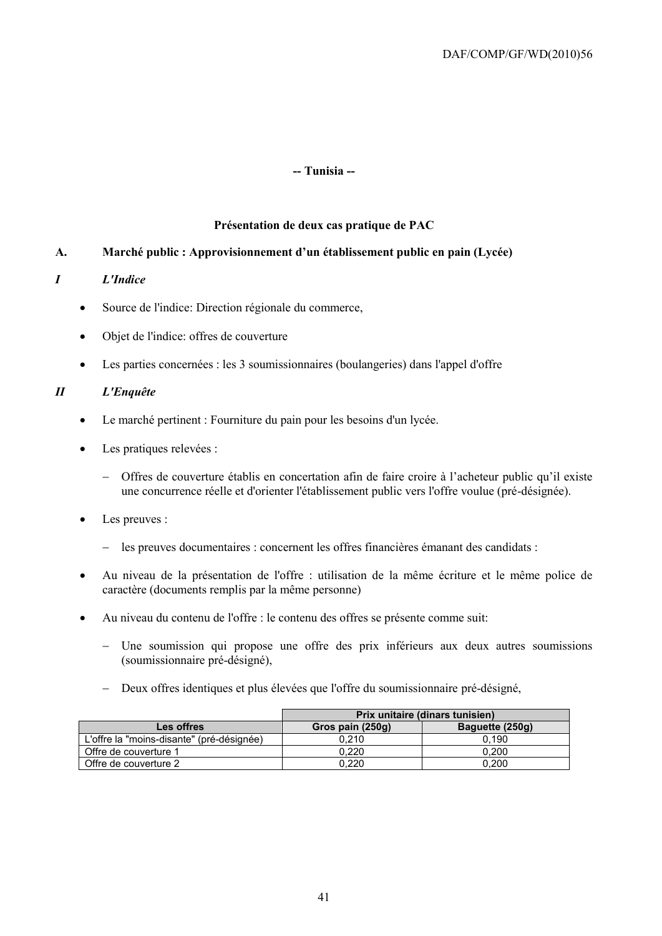#### **-- Tunisia --**

#### **Présentation de deux cas pratique de PAC**

#### **A. Marché public : Approvisionnement d'un établissement public en pain (Lycée)**

#### *I L'Indice*

- Source de l'indice: Direction régionale du commerce,
- Objet de l'indice: offres de couverture
- Les parties concernées : les 3 soumissionnaires (boulangeries) dans l'appel d'offre

#### *II L'Enquête*

- Le marché pertinent : Fourniture du pain pour les besoins d'un lycée.
- Les pratiques relevées :
	- Offres de couverture établis en concertation afin de faire croire à l'acheteur public qu'il existe une concurrence réelle et d'orienter l'établissement public vers l'offre voulue (pré-désignée).
- Les preuves :
	- les preuves documentaires : concernent les offres financières émanant des candidats :
- Au niveau de la présentation de l'offre : utilisation de la même écriture et le même police de caractère (documents remplis par la même personne)
- Au niveau du contenu de l'offre : le contenu des offres se présente comme suit:
	- Une soumission qui propose une offre des prix inférieurs aux deux autres soumissions (soumissionnaire pré-désigné),
	- Deux offres identiques et plus élevées que l'offre du soumissionnaire pré-désigné,

|                                           | Prix unitaire (dinars tunisien) |                 |  |  |  |
|-------------------------------------------|---------------------------------|-----------------|--|--|--|
| Les offres                                | Gros pain (250g)                | Baquette (250g) |  |  |  |
| L'offre la "moins-disante" (pré-désignée) | 0.210                           | 0.190           |  |  |  |
| Offre de couverture 1                     | 0.220                           | 0.200           |  |  |  |
| Offre de couverture 2                     | 0.220                           | 0.200           |  |  |  |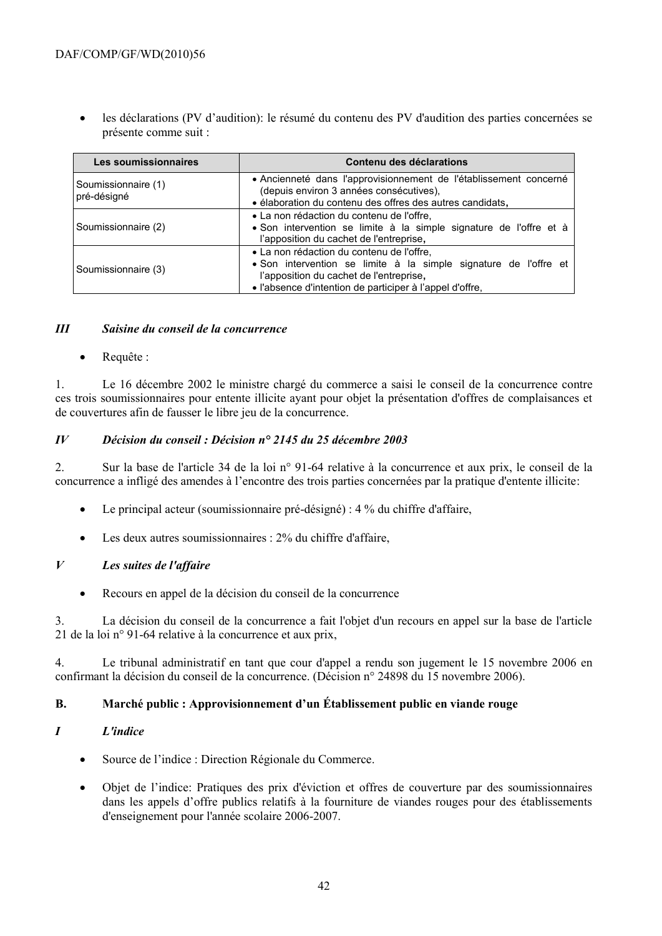les déclarations (PV d'audition): le résumé du contenu des PV d'audition des parties concernées se présente comme suit :

| Les soumissionnaires               | Contenu des déclarations                                                                                                                                                                                             |  |  |  |
|------------------------------------|----------------------------------------------------------------------------------------------------------------------------------------------------------------------------------------------------------------------|--|--|--|
| Soumissionnaire (1)<br>pré-désigné | • Ancienneté dans l'approvisionnement de l'établissement concerné<br>(depuis environ 3 années consécutives),<br>· élaboration du contenu des offres des autres candidats,                                            |  |  |  |
| Soumissionnaire (2)                | • La non rédaction du contenu de l'offre,<br>· Son intervention se limite à la simple signature de l'offre et à<br>l'apposition du cachet de l'entreprise,                                                           |  |  |  |
| Soumissionnaire (3)                | • La non rédaction du contenu de l'offre,<br>• Son intervention se limite à la simple signature de l'offre et<br>l'apposition du cachet de l'entreprise,<br>• l'absence d'intention de participer à l'appel d'offre, |  |  |  |

#### *III Saisine du conseil de la concurrence*

Requête :

1. Le 16 décembre 2002 le ministre chargé du commerce a saisi le conseil de la concurrence contre ces trois soumissionnaires pour entente illicite ayant pour objet la présentation d'offres de complaisances et de couvertures afin de fausser le libre jeu de la concurrence.

#### *IV Décision du conseil : Décision n° 2145 du 25 décembre 2003*

2. Sur la base de l'article 34 de la loi n° 91-64 relative à la concurrence et aux prix, le conseil de la concurrence a infligé des amendes à l'encontre des trois parties concernées par la pratique d'entente illicite:

- Le principal acteur (soumissionnaire pré-désigné) : 4 % du chiffre d'affaire,
- Les deux autres soumissionnaires : 2% du chiffre d'affaire,

#### *V Les suites de l'affaire*

Recours en appel de la décision du conseil de la concurrence

3. La décision du conseil de la concurrence a fait l'objet d'un recours en appel sur la base de l'article 21 de la loi n° 91-64 relative à la concurrence et aux prix,

4. Le tribunal administratif en tant que cour d'appel a rendu son jugement le 15 novembre 2006 en confirmant la décision du conseil de la concurrence. (Décision n° 24898 du 15 novembre 2006).

#### **B. Marché public : Approvisionnement d'un Établissement public en viande rouge**

#### *I L'indice*

- Source de l'indice : Direction Régionale du Commerce.
- Objet de l'indice: Pratiques des prix d'éviction et offres de couverture par des soumissionnaires dans les appels d'offre publics relatifs à la fourniture de viandes rouges pour des établissements d'enseignement pour l'année scolaire 2006-2007.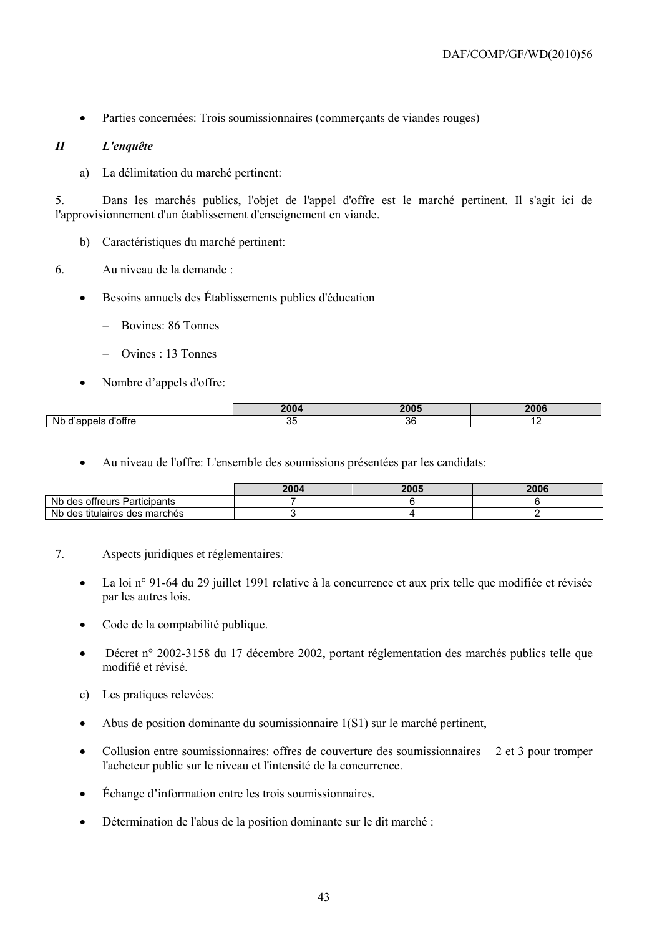Parties concernées: Trois soumissionnaires (commerçants de viandes rouges)

#### *II L'enquête*

a) La délimitation du marché pertinent:

5. Dans les marchés publics, l'objet de l'appel d'offre est le marché pertinent. Il s'agit ici de l'approvisionnement d'un établissement d'enseignement en viande.

- b) Caractéristiques du marché pertinent:
- 6. Au niveau de la demande :
	- Besoins annuels des Établissements publics d'éducation
		- Bovines: 86 Tonnes
		- Ovines : 13 Tonnes
	- Nombre d'appels d'offre:

|                                   | י ההפ<br>LUU | 000c      | <b>2006</b> |
|-----------------------------------|--------------|-----------|-------------|
| <b>Nb</b><br>، ا ہ<br>∟ חופי<br>◡ | ັ            | n,<br>. . | - -         |

Au niveau de l'offre: L'ensemble des soumissions présentées par les candidats:

|                                       | 2004 | 2005 | 2006 |
|---------------------------------------|------|------|------|
| Nb des<br>offreurs Participants       |      |      |      |
| Nb des<br>titulaires<br>; des marchés |      |      |      |

- 7. Aspects juridiques et réglementaires*:*
	- La loi n° 91-64 du 29 juillet 1991 relative à la concurrence et aux prix telle que modifiée et révisée par les autres lois.
	- Code de la comptabilité publique.
	- [Décret n° 2002-3158 du 17 décembre 2002, portant réglementation des marchés publics](javascript:onclick=AfficheFiche(%224223%22)) telle que modifié et révisé.
	- c) Les pratiques relevées:
	- Abus de position dominante du soumissionnaire 1(S1) sur le marché pertinent,
	- Collusion entre soumissionnaires: offres de couverture des soumissionnaires 2 et 3 pour tromper l'acheteur public sur le niveau et l'intensité de la concurrence.
	- Échange d'information entre les trois soumissionnaires.
	- Détermination de l'abus de la position dominante sur le dit marché :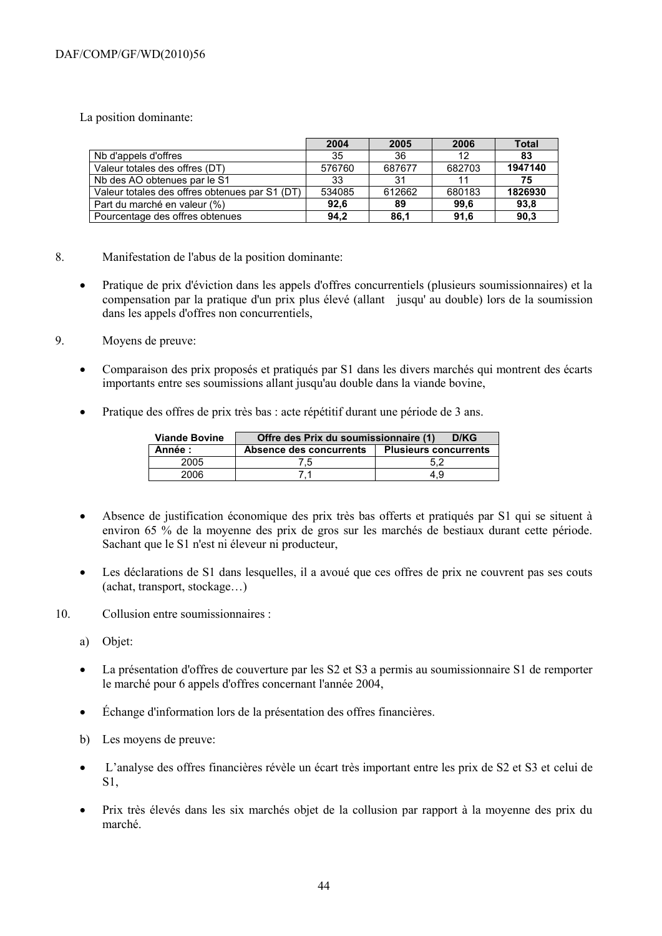La position dominante:

|                                                | 2004   | 2005   | 2006   | Total   |
|------------------------------------------------|--------|--------|--------|---------|
| Nb d'appels d'offres                           | 35     | 36     | 12     | 83      |
| Valeur totales des offres (DT)                 | 576760 | 687677 | 682703 | 1947140 |
| Nb des AO obtenues par le S1                   | 33     | 31     | 11     | 75      |
| Valeur totales des offres obtenues par S1 (DT) | 534085 | 612662 | 680183 | 1826930 |
| Part du marché en valeur (%)                   | 92.6   | 89     | 99.6   | 93,8    |
| Pourcentage des offres obtenues                | 94.2   | 86.1   | 91.6   | 90,3    |

- 8. Manifestation de l'abus de la position dominante:
	- Pratique de prix d'éviction dans les appels d'offres concurrentiels (plusieurs soumissionnaires) et la compensation par la pratique d'un prix plus élevé (allant jusqu' au double) lors de la soumission dans les appels d'offres non concurrentiels,
- 9. Moyens de preuve:
	- Comparaison des prix proposés et pratiqués par S1 dans les divers marchés qui montrent des écarts importants entre ses soumissions allant jusqu'au double dans la viande bovine,
	- Pratique des offres de prix très bas : acte répétitif durant une période de 3 ans.

| <b>Viande Bovine</b> | Offre des Prix du soumissionnaire (1)<br>D/KG |                              |  |  |  |  |
|----------------------|-----------------------------------------------|------------------------------|--|--|--|--|
| Année :              | Absence des concurrents                       | <b>Plusieurs concurrents</b> |  |  |  |  |
| 2005                 | 5.                                            |                              |  |  |  |  |
| 2006                 |                                               | 4.9                          |  |  |  |  |

- Absence de justification économique des prix très bas offerts et pratiqués par S1 qui se situent à environ 65 % de la moyenne des prix de gros sur les marchés de bestiaux durant cette période. Sachant que le S1 n'est ni éleveur ni producteur,
- Les déclarations de S1 dans lesquelles, il a avoué que ces offres de prix ne couvrent pas ses couts (achat, transport, stockage…)
- 10. Collusion entre soumissionnaires :
	- a) Objet:
	- La présentation d'offres de couverture par les S2 et S3 a permis au soumissionnaire S1 de remporter le marché pour 6 appels d'offres concernant l'année 2004,
	- Échange d'information lors de la présentation des offres financières.
	- b) Les moyens de preuve:
	- L'analyse des offres financières révèle un écart très important entre les prix de S2 et S3 et celui de S1,
	- Prix très élevés dans les six marchés objet de la collusion par rapport à la moyenne des prix du marché.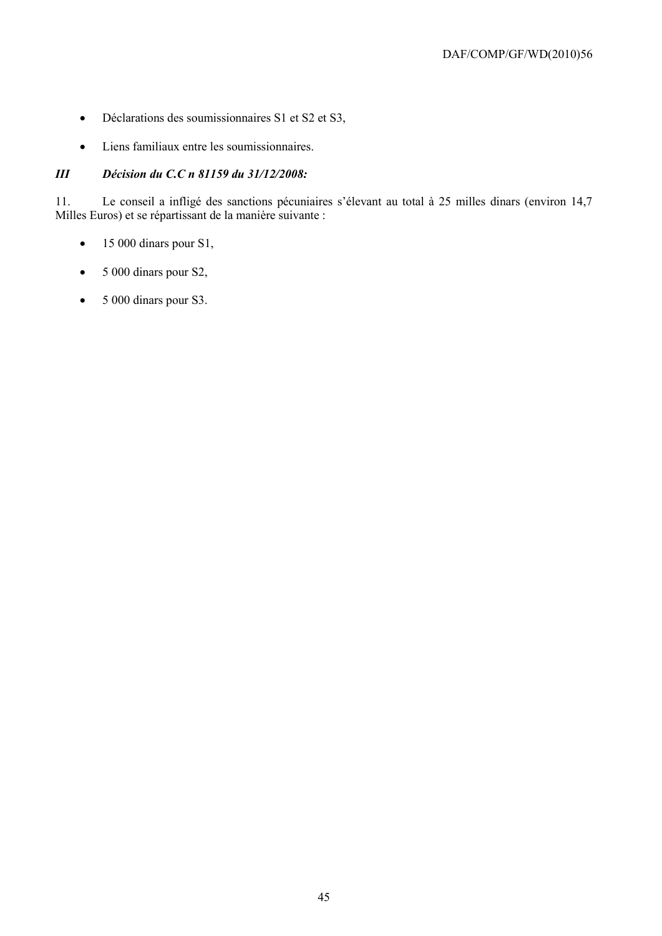- Déclarations des soumissionnaires S1 et S2 et S3,
- Liens familiaux entre les soumissionnaires.

#### *III Décision du C.C n 81159 du 31/12/2008:*

11. Le conseil a infligé des sanctions pécuniaires s'élevant au total à 25 milles dinars (environ 14,7 Milles Euros) et se répartissant de la manière suivante :

- $\bullet$  15 000 dinars pour S1,
- 5 000 dinars pour S2,
- 5 000 dinars pour S3.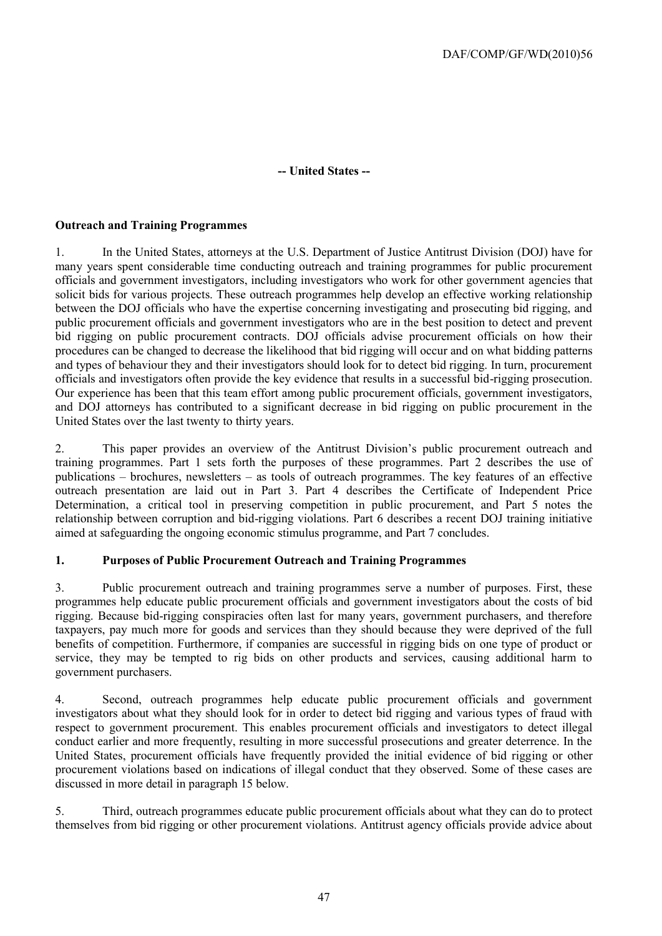#### **-- United States --**

#### **Outreach and Training Programmes**

1. In the United States, attorneys at the U.S. Department of Justice Antitrust Division (DOJ) have for many years spent considerable time conducting outreach and training programmes for public procurement officials and government investigators, including investigators who work for other government agencies that solicit bids for various projects. These outreach programmes help develop an effective working relationship between the DOJ officials who have the expertise concerning investigating and prosecuting bid rigging, and public procurement officials and government investigators who are in the best position to detect and prevent bid rigging on public procurement contracts. DOJ officials advise procurement officials on how their procedures can be changed to decrease the likelihood that bid rigging will occur and on what bidding patterns and types of behaviour they and their investigators should look for to detect bid rigging. In turn, procurement officials and investigators often provide the key evidence that results in a successful bid-rigging prosecution. Our experience has been that this team effort among public procurement officials, government investigators, and DOJ attorneys has contributed to a significant decrease in bid rigging on public procurement in the United States over the last twenty to thirty years.

2. This paper provides an overview of the Antitrust Division's public procurement outreach and training programmes. Part 1 sets forth the purposes of these programmes. Part 2 describes the use of publications – brochures, newsletters – as tools of outreach programmes. The key features of an effective outreach presentation are laid out in Part 3. Part 4 describes the Certificate of Independent Price Determination, a critical tool in preserving competition in public procurement, and Part 5 notes the relationship between corruption and bid-rigging violations. Part 6 describes a recent DOJ training initiative aimed at safeguarding the ongoing economic stimulus programme, and Part 7 concludes.

#### **1. Purposes of Public Procurement Outreach and Training Programmes**

3. Public procurement outreach and training programmes serve a number of purposes. First, these programmes help educate public procurement officials and government investigators about the costs of bid rigging. Because bid-rigging conspiracies often last for many years, government purchasers, and therefore taxpayers, pay much more for goods and services than they should because they were deprived of the full benefits of competition. Furthermore, if companies are successful in rigging bids on one type of product or service, they may be tempted to rig bids on other products and services, causing additional harm to government purchasers.

4. Second, outreach programmes help educate public procurement officials and government investigators about what they should look for in order to detect bid rigging and various types of fraud with respect to government procurement. This enables procurement officials and investigators to detect illegal conduct earlier and more frequently, resulting in more successful prosecutions and greater deterrence. In the United States, procurement officials have frequently provided the initial evidence of bid rigging or other procurement violations based on indications of illegal conduct that they observed. Some of these cases are discussed in more detail in paragraph 15 below.

5. Third, outreach programmes educate public procurement officials about what they can do to protect themselves from bid rigging or other procurement violations. Antitrust agency officials provide advice about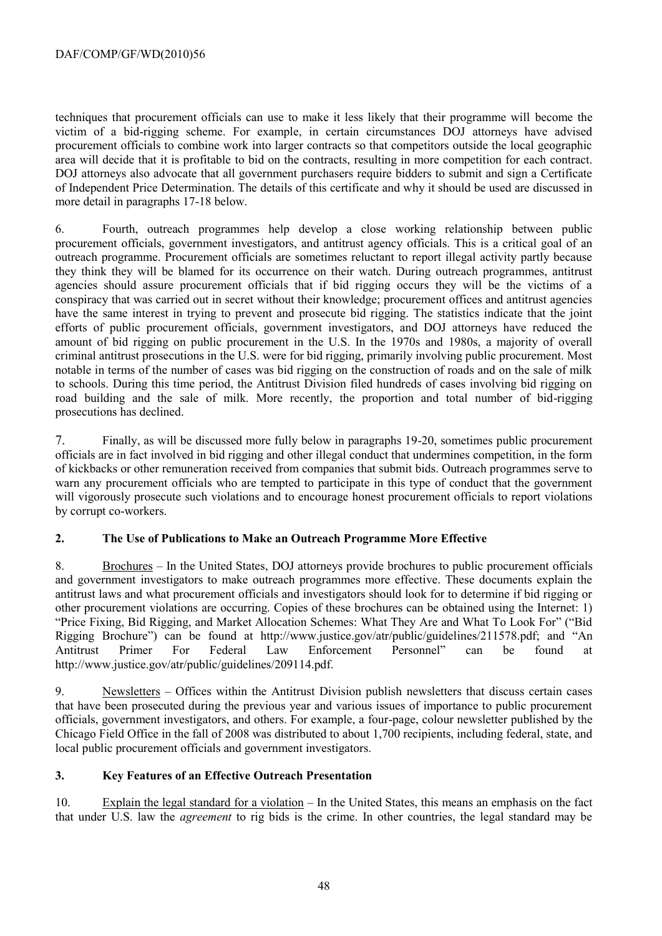techniques that procurement officials can use to make it less likely that their programme will become the victim of a bid-rigging scheme. For example, in certain circumstances DOJ attorneys have advised procurement officials to combine work into larger contracts so that competitors outside the local geographic area will decide that it is profitable to bid on the contracts, resulting in more competition for each contract. DOJ attorneys also advocate that all government purchasers require bidders to submit and sign a Certificate of Independent Price Determination. The details of this certificate and why it should be used are discussed in more detail in paragraphs 17-18 below.

6. Fourth, outreach programmes help develop a close working relationship between public procurement officials, government investigators, and antitrust agency officials. This is a critical goal of an outreach programme. Procurement officials are sometimes reluctant to report illegal activity partly because they think they will be blamed for its occurrence on their watch. During outreach programmes, antitrust agencies should assure procurement officials that if bid rigging occurs they will be the victims of a conspiracy that was carried out in secret without their knowledge; procurement offices and antitrust agencies have the same interest in trying to prevent and prosecute bid rigging. The statistics indicate that the joint efforts of public procurement officials, government investigators, and DOJ attorneys have reduced the amount of bid rigging on public procurement in the U.S. In the 1970s and 1980s, a majority of overall criminal antitrust prosecutions in the U.S. were for bid rigging, primarily involving public procurement. Most notable in terms of the number of cases was bid rigging on the construction of roads and on the sale of milk to schools. During this time period, the Antitrust Division filed hundreds of cases involving bid rigging on road building and the sale of milk. More recently, the proportion and total number of bid-rigging prosecutions has declined.

7. Finally, as will be discussed more fully below in paragraphs 19-20, sometimes public procurement officials are in fact involved in bid rigging and other illegal conduct that undermines competition, in the form of kickbacks or other remuneration received from companies that submit bids. Outreach programmes serve to warn any procurement officials who are tempted to participate in this type of conduct that the government will vigorously prosecute such violations and to encourage honest procurement officials to report violations by corrupt co-workers.

#### **2. The Use of Publications to Make an Outreach Programme More Effective**

8. Brochures – In the United States, DOJ attorneys provide brochures to public procurement officials and government investigators to make outreach programmes more effective. These documents explain the antitrust laws and what procurement officials and investigators should look for to determine if bid rigging or other procurement violations are occurring. Copies of these brochures can be obtained using the Internet: 1) "Price Fixing, Bid Rigging, and Market Allocation Schemes: What They Are and What To Look For" ("Bid Rigging Brochure") can be found at http://www.justice.gov/atr/public/guidelines/211578.pdf; and "An Antitrust Primer For Federal Law Enforcement Personnel" can be found at http://www.justice.gov/atr/public/guidelines/209114.pdf.

9. Newsletters – Offices within the Antitrust Division publish newsletters that discuss certain cases that have been prosecuted during the previous year and various issues of importance to public procurement officials, government investigators, and others. For example, a four-page, colour newsletter published by the Chicago Field Office in the fall of 2008 was distributed to about 1,700 recipients, including federal, state, and local public procurement officials and government investigators.

#### **3. Key Features of an Effective Outreach Presentation**

10. Explain the legal standard for a violation – In the United States, this means an emphasis on the fact that under U.S. law the *agreement* to rig bids is the crime. In other countries, the legal standard may be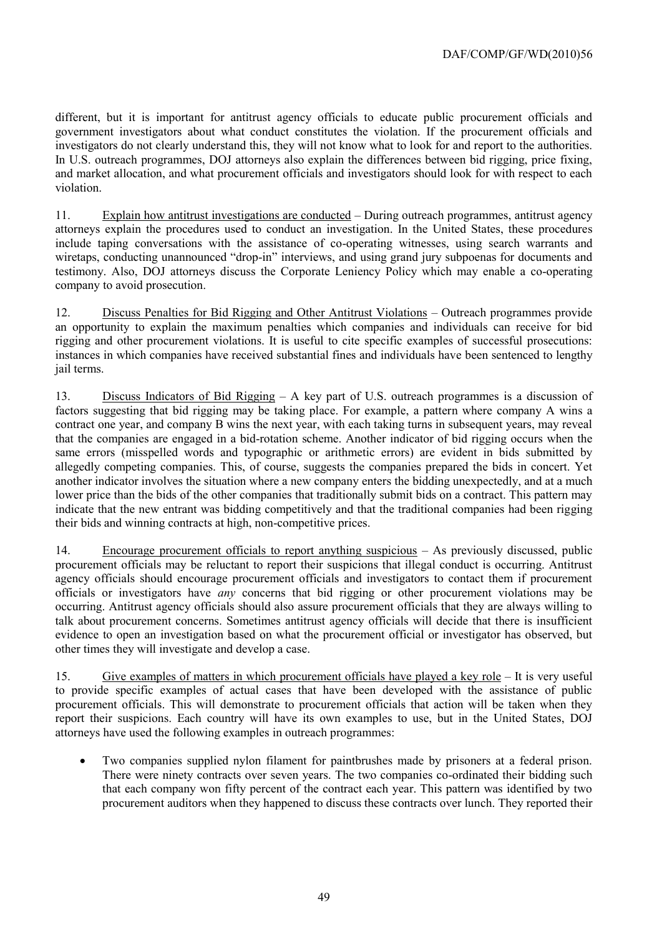different, but it is important for antitrust agency officials to educate public procurement officials and government investigators about what conduct constitutes the violation. If the procurement officials and investigators do not clearly understand this, they will not know what to look for and report to the authorities. In U.S. outreach programmes, DOJ attorneys also explain the differences between bid rigging, price fixing, and market allocation, and what procurement officials and investigators should look for with respect to each violation.

11. Explain how antitrust investigations are conducted – During outreach programmes, antitrust agency attorneys explain the procedures used to conduct an investigation. In the United States, these procedures include taping conversations with the assistance of co-operating witnesses, using search warrants and wiretaps, conducting unannounced "drop-in" interviews, and using grand jury subpoenas for documents and testimony. Also, DOJ attorneys discuss the Corporate Leniency Policy which may enable a co-operating company to avoid prosecution.

12. Discuss Penalties for Bid Rigging and Other Antitrust Violations – Outreach programmes provide an opportunity to explain the maximum penalties which companies and individuals can receive for bid rigging and other procurement violations. It is useful to cite specific examples of successful prosecutions: instances in which companies have received substantial fines and individuals have been sentenced to lengthy jail terms.

13. Discuss Indicators of Bid Rigging – A key part of U.S. outreach programmes is a discussion of factors suggesting that bid rigging may be taking place. For example, a pattern where company A wins a contract one year, and company B wins the next year, with each taking turns in subsequent years, may reveal that the companies are engaged in a bid-rotation scheme. Another indicator of bid rigging occurs when the same errors (misspelled words and typographic or arithmetic errors) are evident in bids submitted by allegedly competing companies. This, of course, suggests the companies prepared the bids in concert. Yet another indicator involves the situation where a new company enters the bidding unexpectedly, and at a much lower price than the bids of the other companies that traditionally submit bids on a contract. This pattern may indicate that the new entrant was bidding competitively and that the traditional companies had been rigging their bids and winning contracts at high, non-competitive prices.

14. Encourage procurement officials to report anything suspicious – As previously discussed, public procurement officials may be reluctant to report their suspicions that illegal conduct is occurring. Antitrust agency officials should encourage procurement officials and investigators to contact them if procurement officials or investigators have *any* concerns that bid rigging or other procurement violations may be occurring. Antitrust agency officials should also assure procurement officials that they are always willing to talk about procurement concerns. Sometimes antitrust agency officials will decide that there is insufficient evidence to open an investigation based on what the procurement official or investigator has observed, but other times they will investigate and develop a case.

15. Give examples of matters in which procurement officials have played a key role – It is very useful to provide specific examples of actual cases that have been developed with the assistance of public procurement officials. This will demonstrate to procurement officials that action will be taken when they report their suspicions. Each country will have its own examples to use, but in the United States, DOJ attorneys have used the following examples in outreach programmes:

 Two companies supplied nylon filament for paintbrushes made by prisoners at a federal prison. There were ninety contracts over seven years. The two companies co-ordinated their bidding such that each company won fifty percent of the contract each year. This pattern was identified by two procurement auditors when they happened to discuss these contracts over lunch. They reported their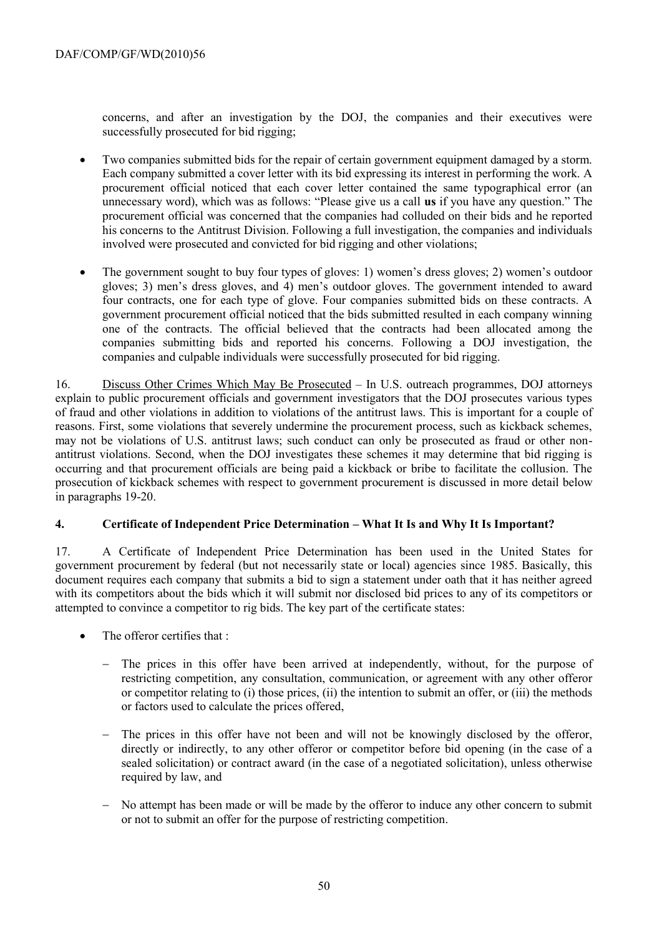concerns, and after an investigation by the DOJ, the companies and their executives were successfully prosecuted for bid rigging;

- Two companies submitted bids for the repair of certain government equipment damaged by a storm. Each company submitted a cover letter with its bid expressing its interest in performing the work. A procurement official noticed that each cover letter contained the same typographical error (an unnecessary word), which was as follows: "Please give us a call **us** if you have any question." The procurement official was concerned that the companies had colluded on their bids and he reported his concerns to the Antitrust Division. Following a full investigation, the companies and individuals involved were prosecuted and convicted for bid rigging and other violations;
- The government sought to buy four types of gloves: 1) women's dress gloves; 2) women's outdoor gloves; 3) men's dress gloves, and 4) men's outdoor gloves. The government intended to award four contracts, one for each type of glove. Four companies submitted bids on these contracts. A government procurement official noticed that the bids submitted resulted in each company winning one of the contracts. The official believed that the contracts had been allocated among the companies submitting bids and reported his concerns. Following a DOJ investigation, the companies and culpable individuals were successfully prosecuted for bid rigging.

16. Discuss Other Crimes Which May Be Prosecuted – In U.S. outreach programmes, DOJ attorneys explain to public procurement officials and government investigators that the DOJ prosecutes various types of fraud and other violations in addition to violations of the antitrust laws. This is important for a couple of reasons. First, some violations that severely undermine the procurement process, such as kickback schemes, may not be violations of U.S. antitrust laws; such conduct can only be prosecuted as fraud or other nonantitrust violations. Second, when the DOJ investigates these schemes it may determine that bid rigging is occurring and that procurement officials are being paid a kickback or bribe to facilitate the collusion. The prosecution of kickback schemes with respect to government procurement is discussed in more detail below in paragraphs 19-20.

#### **4. Certificate of Independent Price Determination – What It Is and Why It Is Important?**

17. A Certificate of Independent Price Determination has been used in the United States for government procurement by federal (but not necessarily state or local) agencies since 1985. Basically, this document requires each company that submits a bid to sign a statement under oath that it has neither agreed with its competitors about the bids which it will submit nor disclosed bid prices to any of its competitors or attempted to convince a competitor to rig bids. The key part of the certificate states:

- The offeror certifies that :
	- The prices in this offer have been arrived at independently, without, for the purpose of restricting competition, any consultation, communication, or agreement with any other offeror or competitor relating to (i) those prices, (ii) the intention to submit an offer, or (iii) the methods or factors used to calculate the prices offered,
	- The prices in this offer have not been and will not be knowingly disclosed by the offeror, directly or indirectly, to any other offeror or competitor before bid opening (in the case of a sealed solicitation) or contract award (in the case of a negotiated solicitation), unless otherwise required by law, and
	- No attempt has been made or will be made by the offeror to induce any other concern to submit or not to submit an offer for the purpose of restricting competition.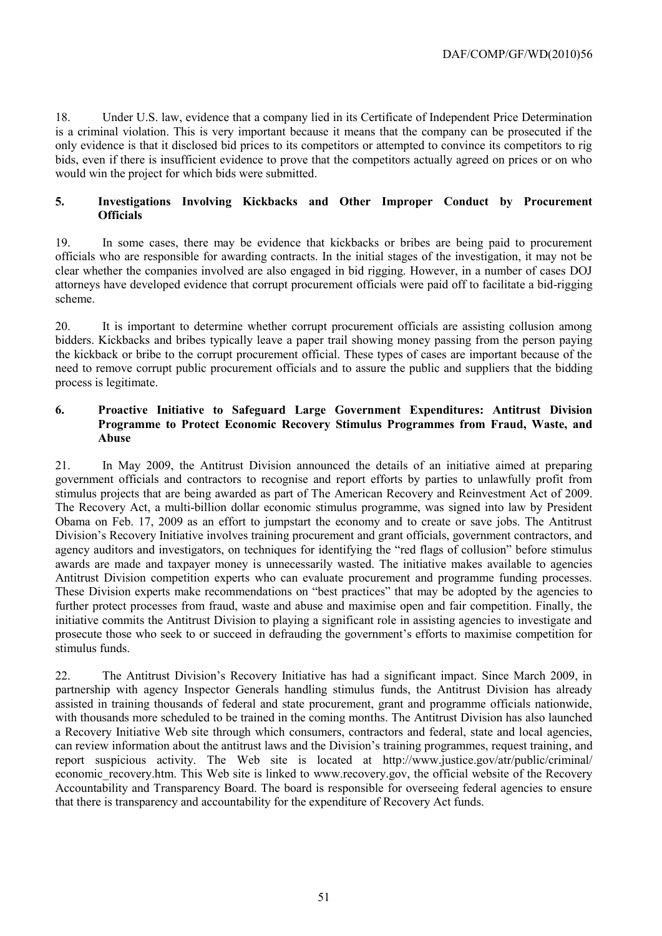18. Under U.S. law, evidence that a company lied in its Certificate of Independent Price Determination is a criminal violation. This is very important because it means that the company can be prosecuted if the only evidence is that it disclosed bid prices to its competitors or attempted to convince its competitors to rig bids, even if there is insufficient evidence to prove that the competitors actually agreed on prices or on who would win the project for which bids were submitted.

#### **5. Investigations Involving Kickbacks and Other Improper Conduct by Procurement Officials**

19. In some cases, there may be evidence that kickbacks or bribes are being paid to procurement officials who are responsible for awarding contracts. In the initial stages of the investigation, it may not be clear whether the companies involved are also engaged in bid rigging. However, in a number of cases DOJ attorneys have developed evidence that corrupt procurement officials were paid off to facilitate a bid-rigging scheme.

20. It is important to determine whether corrupt procurement officials are assisting collusion among bidders. Kickbacks and bribes typically leave a paper trail showing money passing from the person paying the kickback or bribe to the corrupt procurement official. These types of cases are important because of the need to remove corrupt public procurement officials and to assure the public and suppliers that the bidding process is legitimate.

#### **6. Proactive Initiative to Safeguard Large Government Expenditures: Antitrust Division Programme to Protect Economic Recovery Stimulus Programmes from Fraud, Waste, and Abuse**

21. In May 2009, the Antitrust Division announced the details of an initiative aimed at preparing government officials and contractors to recognise and report efforts by parties to unlawfully profit from stimulus projects that are being awarded as part of The American Recovery and Reinvestment Act of 2009. The Recovery Act, a multi-billion dollar economic stimulus programme, was signed into law by President Obama on Feb. 17, 2009 as an effort to jumpstart the economy and to create or save jobs. The Antitrust Division's Recovery Initiative involves training procurement and grant officials, government contractors, and agency auditors and investigators, on techniques for identifying the "red flags of collusion" before stimulus awards are made and taxpayer money is unnecessarily wasted. The initiative makes available to agencies Antitrust Division competition experts who can evaluate procurement and programme funding processes. These Division experts make recommendations on "best practices" that may be adopted by the agencies to further protect processes from fraud, waste and abuse and maximise open and fair competition. Finally, the initiative commits the Antitrust Division to playing a significant role in assisting agencies to investigate and prosecute those who seek to or succeed in defrauding the government's efforts to maximise competition for stimulus funds.

22. The Antitrust Division's Recovery Initiative has had a significant impact. Since March 2009, in partnership with agency Inspector Generals handling stimulus funds, the Antitrust Division has already assisted in training thousands of federal and state procurement, grant and programme officials nationwide, with thousands more scheduled to be trained in the coming months. The Antitrust Division has also launched a Recovery Initiative Web site through which consumers, contractors and federal, state and local agencies, can review information about the antitrust laws and the Division's training programmes, request training, and report suspicious activity. The Web site is located at [http://www.justice.gov/atr/public/criminal/](http://www.justice.gov/atr/public/criminal/%0beconomic_recovery.htm) economic recovery.htm. This Web site is linked to [www.recovery.gov,](http://www.recovery.gov/) the official website of the Recovery Accountability and Transparency Board. The board is responsible for overseeing federal agencies to ensure that there is transparency and accountability for the expenditure of Recovery Act funds.